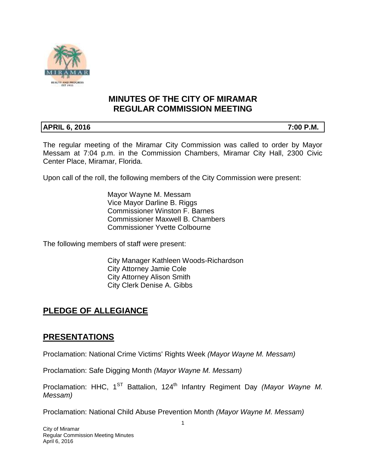

## **MINUTES OF THE CITY OF MIRAMAR REGULAR COMMISSION MEETING**

## **APRIL 6, 2016** 7:00 P.M.

The regular meeting of the Miramar City Commission was called to order by Mayor Messam at 7:04 p.m. in the Commission Chambers, Miramar City Hall, 2300 Civic Center Place, Miramar, Florida.

Upon call of the roll, the following members of the City Commission were present:

Mayor Wayne M. Messam Vice Mayor Darline B. Riggs Commissioner Winston F. Barnes Commissioner Maxwell B. Chambers Commissioner Yvette Colbourne

The following members of staff were present:

City Manager Kathleen Woods-Richardson City Attorney Jamie Cole City Attorney Alison Smith City Clerk Denise A. Gibbs

# **PLEDGE OF ALLEGIANCE**

## **PRESENTATIONS**

Proclamation: National Crime Victims' Rights Week *(Mayor Wayne M. Messam)*

Proclamation: Safe Digging Month *(Mayor Wayne M. Messam)*

Proclamation: HHC, 1<sup>ST</sup> Battalion, 124<sup>th</sup> Infantry Regiment Day *(Mayor Wayne M. Messam)* 

Proclamation: National Child Abuse Prevention Month *(Mayor Wayne M. Messam)*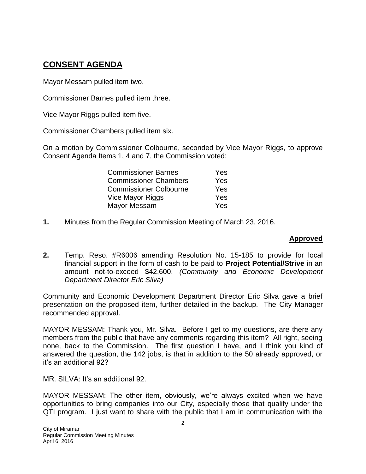# **CONSENT AGENDA**

Mayor Messam pulled item two.

Commissioner Barnes pulled item three.

Vice Mayor Riggs pulled item five.

Commissioner Chambers pulled item six.

On a motion by Commissioner Colbourne, seconded by Vice Mayor Riggs, to approve Consent Agenda Items 1, 4 and 7, the Commission voted:

| <b>Commissioner Barnes</b>    | Yes |
|-------------------------------|-----|
| <b>Commissioner Chambers</b>  | Yes |
| <b>Commissioner Colbourne</b> | Yes |
| Vice Mayor Riggs              | Yes |
| Mayor Messam                  | Yes |

**1.** Minutes from the Regular Commission Meeting of March 23, 2016.

### **Approved**

**2.** Temp. Reso. #R6006 amending Resolution No. 15-185 to provide for local financial support in the form of cash to be paid to **Project Potential/Strive** in an amount not-to-exceed \$42,600. *(Community and Economic Development Department Director Eric Silva)*

Community and Economic Development Department Director Eric Silva gave a brief presentation on the proposed item, further detailed in the backup. The City Manager recommended approval.

MAYOR MESSAM: Thank you, Mr. Silva. Before I get to my questions, are there any members from the public that have any comments regarding this item? All right, seeing none, back to the Commission. The first question I have, and I think you kind of answered the question, the 142 jobs, is that in addition to the 50 already approved, or it's an additional 92?

MR. SILVA: It's an additional 92.

MAYOR MESSAM: The other item, obviously, we're always excited when we have opportunities to bring companies into our City, especially those that qualify under the QTI program. I just want to share with the public that I am in communication with the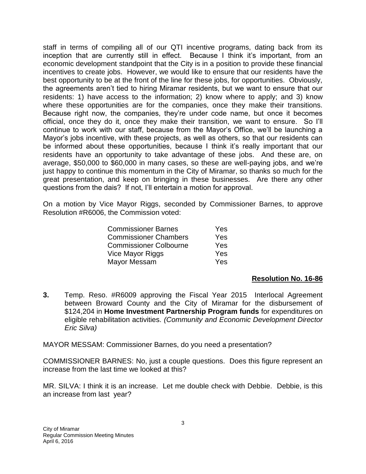staff in terms of compiling all of our QTI incentive programs, dating back from its inception that are currently still in effect. Because I think it's important, from an economic development standpoint that the City is in a position to provide these financial incentives to create jobs. However, we would like to ensure that our residents have the best opportunity to be at the front of the line for these jobs, for opportunities. Obviously, the agreements aren't tied to hiring Miramar residents, but we want to ensure that our residents: 1) have access to the information; 2) know where to apply; and 3) know where these opportunities are for the companies, once they make their transitions. Because right now, the companies, they're under code name, but once it becomes official, once they do it, once they make their transition, we want to ensure. So I'll continue to work with our staff, because from the Mayor's Office, we'll be launching a Mayor's jobs incentive, with these projects, as well as others, so that our residents can be informed about these opportunities, because I think it's really important that our residents have an opportunity to take advantage of these jobs. And these are, on average, \$50,000 to \$60,000 in many cases, so these are well-paying jobs, and we're just happy to continue this momentum in the City of Miramar, so thanks so much for the great presentation, and keep on bringing in these businesses. Are there any other questions from the dais? If not, I'll entertain a motion for approval.

On a motion by Vice Mayor Riggs, seconded by Commissioner Barnes, to approve Resolution #R6006, the Commission voted:

| <b>Commissioner Barnes</b>    | <b>Yes</b> |
|-------------------------------|------------|
| <b>Commissioner Chambers</b>  | Yes        |
| <b>Commissioner Colbourne</b> | Yes        |
| Vice Mayor Riggs              | Yes        |
| Mayor Messam                  | Yes        |

### **Resolution No. 16-86**

**3.** Temp. Reso. #R6009 approving the Fiscal Year 2015 Interlocal Agreement between Broward County and the City of Miramar for the disbursement of \$124,204 in **Home Investment Partnership Program funds** for expenditures on eligible rehabilitation activities. *(Community and Economic Development Director Eric Silva)*

MAYOR MESSAM: Commissioner Barnes, do you need a presentation?

COMMISSIONER BARNES: No, just a couple questions. Does this figure represent an increase from the last time we looked at this?

MR. SILVA: I think it is an increase. Let me double check with Debbie. Debbie, is this an increase from last year?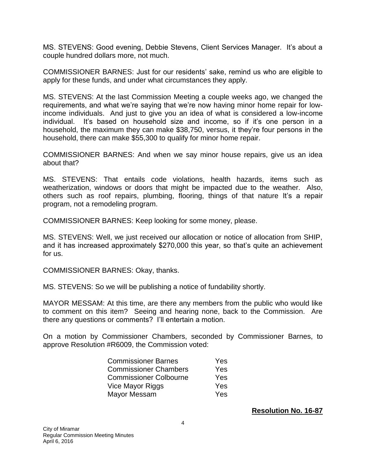MS. STEVENS: Good evening, Debbie Stevens, Client Services Manager. It's about a couple hundred dollars more, not much.

COMMISSIONER BARNES: Just for our residents' sake, remind us who are eligible to apply for these funds, and under what circumstances they apply.

MS. STEVENS: At the last Commission Meeting a couple weeks ago, we changed the requirements, and what we're saying that we're now having minor home repair for lowincome individuals. And just to give you an idea of what is considered a low-income individual. It's based on household size and income, so if it's one person in a household, the maximum they can make \$38,750, versus, it they're four persons in the household, there can make \$55,300 to qualify for minor home repair.

COMMISSIONER BARNES: And when we say minor house repairs, give us an idea about that?

MS. STEVENS: That entails code violations, health hazards, items such as weatherization, windows or doors that might be impacted due to the weather. Also, others such as roof repairs, plumbing, flooring, things of that nature It's a repair program, not a remodeling program.

COMMISSIONER BARNES: Keep looking for some money, please.

MS. STEVENS: Well, we just received our allocation or notice of allocation from SHIP, and it has increased approximately \$270,000 this year, so that's quite an achievement for us.

COMMISSIONER BARNES: Okay, thanks.

MS. STEVENS: So we will be publishing a notice of fundability shortly.

MAYOR MESSAM: At this time, are there any members from the public who would like to comment on this item? Seeing and hearing none, back to the Commission. Are there any questions or comments? I'll entertain a motion.

On a motion by Commissioner Chambers, seconded by Commissioner Barnes, to approve Resolution #R6009, the Commission voted:

| <b>Commissioner Barnes</b>    | Yes |
|-------------------------------|-----|
| <b>Commissioner Chambers</b>  | Yes |
| <b>Commissioner Colbourne</b> | Yes |
| Vice Mayor Riggs              | Yes |
| Mayor Messam                  | Yes |

**Resolution No. 16-87**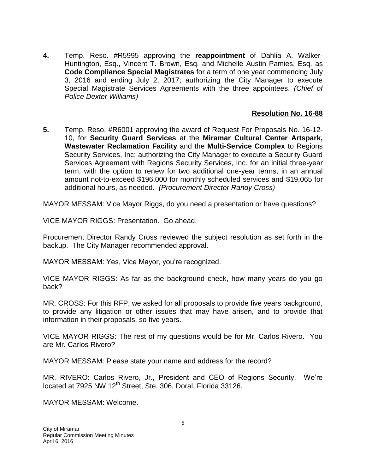**4.** Temp. Reso. #R5995 approving the **reappointment** of Dahlia A. Walker-Huntington, Esq., Vincent T. Brown, Esq. and Michelle Austin Pamies, Esq. as **Code Compliance Special Magistrates** for a term of one year commencing July 3, 2016 and ending July 2, 2017; authorizing the City Manager to execute Special Magistrate Services Agreements with the three appointees. *(Chief of Police Dexter Williams)*

### **Resolution No. 16-88**

**5.** Temp. Reso. #R6001 approving the award of Request For Proposals No. 16-12- 10, for **Security Guard Services** at the **Miramar Cultural Center Artspark, Wastewater Reclamation Facility** and the **Multi-Service Complex** to Regions Security Services, Inc; authorizing the City Manager to execute a Security Guard Services Agreement with Regions Security Services, Inc. for an initial three-year term, with the option to renew for two additional one-year terms, in an annual amount not-to-exceed \$196,000 for monthly scheduled services and \$19,065 for additional hours, as needed. *(Procurement Director Randy Cross)*

MAYOR MESSAM: Vice Mayor Riggs, do you need a presentation or have questions?

VICE MAYOR RIGGS: Presentation. Go ahead.

Procurement Director Randy Cross reviewed the subject resolution as set forth in the backup. The City Manager recommended approval.

MAYOR MESSAM: Yes, Vice Mayor, you're recognized.

VICE MAYOR RIGGS: As far as the background check, how many years do you go back?

MR. CROSS: For this RFP, we asked for all proposals to provide five years background, to provide any litigation or other issues that may have arisen, and to provide that information in their proposals, so five years.

VICE MAYOR RIGGS: The rest of my questions would be for Mr. Carlos Rivero. You are Mr. Carlos Rivero?

MAYOR MESSAM: Please state your name and address for the record?

MR. RIVERO: Carlos Rivero, Jr., President and CEO of Regions Security. We're located at 7925 NW 12<sup>th</sup> Street, Ste. 306, Doral, Florida 33126.

MAYOR MESSAM: Welcome.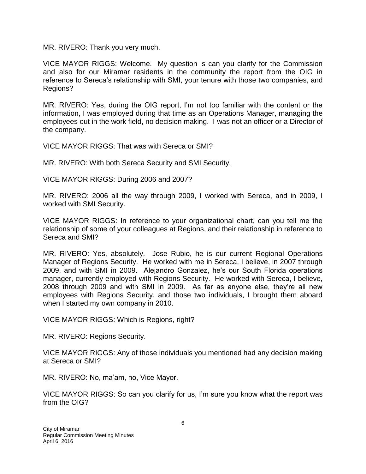MR. RIVERO: Thank you very much.

VICE MAYOR RIGGS: Welcome. My question is can you clarify for the Commission and also for our Miramar residents in the community the report from the OIG in reference to Sereca's relationship with SMI, your tenure with those two companies, and Regions?

MR. RIVERO: Yes, during the OIG report, I'm not too familiar with the content or the information, I was employed during that time as an Operations Manager, managing the employees out in the work field, no decision making. I was not an officer or a Director of the company.

VICE MAYOR RIGGS: That was with Sereca or SMI?

MR. RIVERO: With both Sereca Security and SMI Security.

VICE MAYOR RIGGS: During 2006 and 2007?

MR. RIVERO: 2006 all the way through 2009, I worked with Sereca, and in 2009, I worked with SMI Security.

VICE MAYOR RIGGS: In reference to your organizational chart, can you tell me the relationship of some of your colleagues at Regions, and their relationship in reference to Sereca and SMI?

MR. RIVERO: Yes, absolutely. Jose Rubio, he is our current Regional Operations Manager of Regions Security. He worked with me in Sereca, I believe, in 2007 through 2009, and with SMI in 2009. Alejandro Gonzalez, he's our South Florida operations manager, currently employed with Regions Security. He worked with Sereca, I believe, 2008 through 2009 and with SMI in 2009. As far as anyone else, they're all new employees with Regions Security, and those two individuals, I brought them aboard when I started my own company in 2010.

VICE MAYOR RIGGS: Which is Regions, right?

MR. RIVERO: Regions Security.

VICE MAYOR RIGGS: Any of those individuals you mentioned had any decision making at Sereca or SMI?

MR. RIVERO: No, ma'am, no, Vice Mayor.

VICE MAYOR RIGGS: So can you clarify for us, I'm sure you know what the report was from the OIG?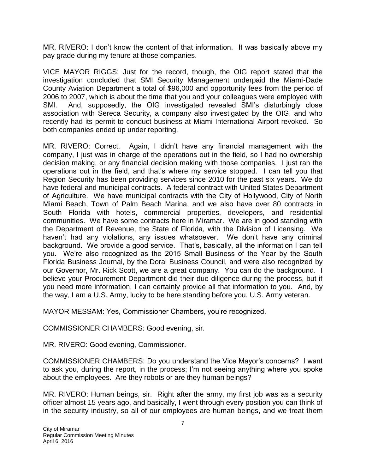MR. RIVERO: I don't know the content of that information. It was basically above my pay grade during my tenure at those companies.

VICE MAYOR RIGGS: Just for the record, though, the OIG report stated that the investigation concluded that SMI Security Management underpaid the Miami-Dade County Aviation Department a total of \$96,000 and opportunity fees from the period of 2006 to 2007, which is about the time that you and your colleagues were employed with SMI. And, supposedly, the OIG investigated revealed SMI's disturbingly close association with Sereca Security, a company also investigated by the OIG, and who recently had its permit to conduct business at Miami International Airport revoked. So both companies ended up under reporting.

MR. RIVERO: Correct. Again, I didn't have any financial management with the company, I just was in charge of the operations out in the field, so I had no ownership decision making, or any financial decision making with those companies. I just ran the operations out in the field, and that's where my service stopped. I can tell you that Region Security has been providing services since 2010 for the past six years. We do have federal and municipal contracts. A federal contract with United States Department of Agriculture. We have municipal contracts with the City of Hollywood, City of North Miami Beach, Town of Palm Beach Marina, and we also have over 80 contracts in South Florida with hotels, commercial properties, developers, and residential communities. We have some contracts here in Miramar. We are in good standing with the Department of Revenue, the State of Florida, with the Division of Licensing. We haven't had any violations, any issues whatsoever. We don't have any criminal background. We provide a good service. That's, basically, all the information I can tell you. We're also recognized as the 2015 Small Business of the Year by the South Florida Business Journal, by the Doral Business Council, and were also recognized by our Governor, Mr. Rick Scott, we are a great company. You can do the background. I believe your Procurement Department did their due diligence during the process, but if you need more information, I can certainly provide all that information to you. And, by the way, I am a U.S. Army, lucky to be here standing before you, U.S. Army veteran.

MAYOR MESSAM: Yes, Commissioner Chambers, you're recognized.

COMMISSIONER CHAMBERS: Good evening, sir.

MR. RIVERO: Good evening, Commissioner.

COMMISSIONER CHAMBERS: Do you understand the Vice Mayor's concerns? I want to ask you, during the report, in the process; I'm not seeing anything where you spoke about the employees. Are they robots or are they human beings?

MR. RIVERO: Human beings, sir. Right after the army, my first job was as a security officer almost 15 years ago, and basically, I went through every position you can think of in the security industry, so all of our employees are human beings, and we treat them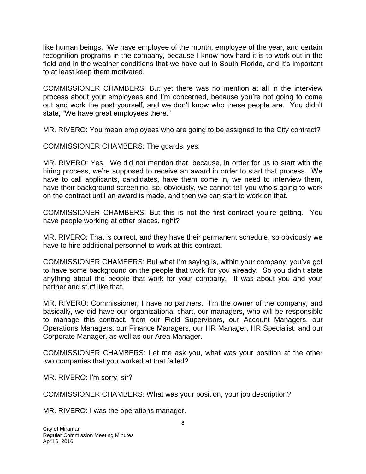like human beings. We have employee of the month, employee of the year, and certain recognition programs in the company, because I know how hard it is to work out in the field and in the weather conditions that we have out in South Florida, and it's important to at least keep them motivated.

COMMISSIONER CHAMBERS: But yet there was no mention at all in the interview process about your employees and I'm concerned, because you're not going to come out and work the post yourself, and we don't know who these people are. You didn't state, "We have great employees there."

MR. RIVERO: You mean employees who are going to be assigned to the City contract?

COMMISSIONER CHAMBERS: The guards, yes.

MR. RIVERO: Yes. We did not mention that, because, in order for us to start with the hiring process, we're supposed to receive an award in order to start that process. We have to call applicants, candidates, have them come in, we need to interview them, have their background screening, so, obviously, we cannot tell you who's going to work on the contract until an award is made, and then we can start to work on that.

COMMISSIONER CHAMBERS: But this is not the first contract you're getting. You have people working at other places, right?

MR. RIVERO: That is correct, and they have their permanent schedule, so obviously we have to hire additional personnel to work at this contract.

COMMISSIONER CHAMBERS: But what I'm saying is, within your company, you've got to have some background on the people that work for you already. So you didn't state anything about the people that work for your company. It was about you and your partner and stuff like that.

MR. RIVERO: Commissioner, I have no partners. I'm the owner of the company, and basically, we did have our organizational chart, our managers, who will be responsible to manage this contract, from our Field Supervisors, our Account Managers, our Operations Managers, our Finance Managers, our HR Manager, HR Specialist, and our Corporate Manager, as well as our Area Manager.

COMMISSIONER CHAMBERS: Let me ask you, what was your position at the other two companies that you worked at that failed?

MR. RIVERO: I'm sorry, sir?

COMMISSIONER CHAMBERS: What was your position, your job description?

MR. RIVERO: I was the operations manager.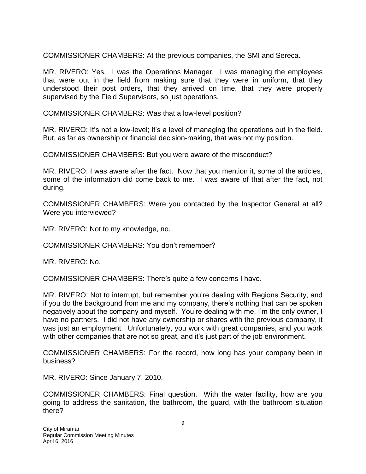COMMISSIONER CHAMBERS: At the previous companies, the SMI and Sereca.

MR. RIVERO: Yes. I was the Operations Manager. I was managing the employees that were out in the field from making sure that they were in uniform, that they understood their post orders, that they arrived on time, that they were properly supervised by the Field Supervisors, so just operations.

COMMISSIONER CHAMBERS: Was that a low-level position?

MR. RIVERO: It's not a low-level; it's a level of managing the operations out in the field. But, as far as ownership or financial decision-making, that was not my position.

COMMISSIONER CHAMBERS: But you were aware of the misconduct?

MR. RIVERO: I was aware after the fact. Now that you mention it, some of the articles, some of the information did come back to me. I was aware of that after the fact, not during.

COMMISSIONER CHAMBERS: Were you contacted by the Inspector General at all? Were you interviewed?

MR. RIVERO: Not to my knowledge, no.

COMMISSIONER CHAMBERS: You don't remember?

MR. RIVERO: No.

COMMISSIONER CHAMBERS: There's quite a few concerns I have.

MR. RIVERO: Not to interrupt, but remember you're dealing with Regions Security, and if you do the background from me and my company, there's nothing that can be spoken negatively about the company and myself. You're dealing with me, I'm the only owner, I have no partners. I did not have any ownership or shares with the previous company, it was just an employment. Unfortunately, you work with great companies, and you work with other companies that are not so great, and it's just part of the job environment.

COMMISSIONER CHAMBERS: For the record, how long has your company been in business?

MR. RIVERO: Since January 7, 2010.

COMMISSIONER CHAMBERS: Final question. With the water facility, how are you going to address the sanitation, the bathroom, the guard, with the bathroom situation there?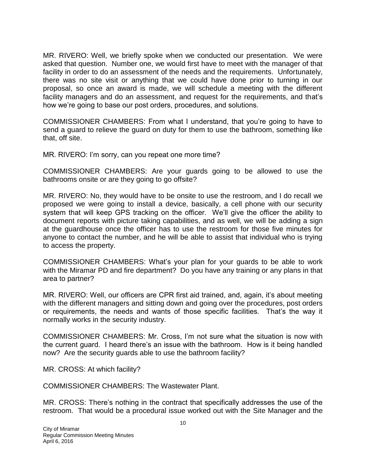MR. RIVERO: Well, we briefly spoke when we conducted our presentation. We were asked that question. Number one, we would first have to meet with the manager of that facility in order to do an assessment of the needs and the requirements. Unfortunately, there was no site visit or anything that we could have done prior to turning in our proposal, so once an award is made, we will schedule a meeting with the different facility managers and do an assessment, and request for the requirements, and that's how we're going to base our post orders, procedures, and solutions.

COMMISSIONER CHAMBERS: From what I understand, that you're going to have to send a guard to relieve the guard on duty for them to use the bathroom, something like that, off site.

MR. RIVERO: I'm sorry, can you repeat one more time?

COMMISSIONER CHAMBERS: Are your guards going to be allowed to use the bathrooms onsite or are they going to go offsite?

MR. RIVERO: No, they would have to be onsite to use the restroom, and I do recall we proposed we were going to install a device, basically, a cell phone with our security system that will keep GPS tracking on the officer. We'll give the officer the ability to document reports with picture taking capabilities, and as well, we will be adding a sign at the guardhouse once the officer has to use the restroom for those five minutes for anyone to contact the number, and he will be able to assist that individual who is trying to access the property.

COMMISSIONER CHAMBERS: What's your plan for your guards to be able to work with the Miramar PD and fire department? Do you have any training or any plans in that area to partner?

MR. RIVERO: Well, our officers are CPR first aid trained, and, again, it's about meeting with the different managers and sitting down and going over the procedures, post orders or requirements, the needs and wants of those specific facilities. That's the way it normally works in the security industry.

COMMISSIONER CHAMBERS: Mr. Cross, I'm not sure what the situation is now with the current guard. I heard there's an issue with the bathroom. How is it being handled now? Are the security guards able to use the bathroom facility?

MR. CROSS: At which facility?

COMMISSIONER CHAMBERS: The Wastewater Plant.

MR. CROSS: There's nothing in the contract that specifically addresses the use of the restroom. That would be a procedural issue worked out with the Site Manager and the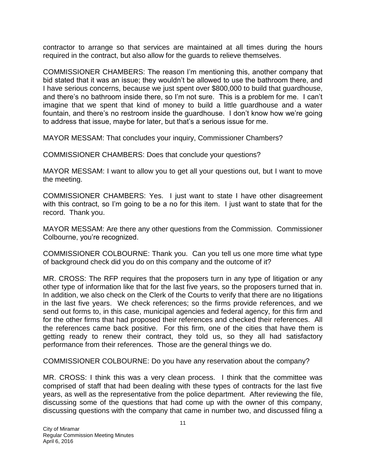contractor to arrange so that services are maintained at all times during the hours required in the contract, but also allow for the guards to relieve themselves.

COMMISSIONER CHAMBERS: The reason I'm mentioning this, another company that bid stated that it was an issue; they wouldn't be allowed to use the bathroom there, and I have serious concerns, because we just spent over \$800,000 to build that guardhouse, and there's no bathroom inside there, so I'm not sure. This is a problem for me. I can't imagine that we spent that kind of money to build a little guardhouse and a water fountain, and there's no restroom inside the guardhouse. I don't know how we're going to address that issue, maybe for later, but that's a serious issue for me.

MAYOR MESSAM: That concludes your inquiry, Commissioner Chambers?

COMMISSIONER CHAMBERS: Does that conclude your questions?

MAYOR MESSAM: I want to allow you to get all your questions out, but I want to move the meeting.

COMMISSIONER CHAMBERS: Yes. I just want to state I have other disagreement with this contract, so I'm going to be a no for this item. I just want to state that for the record. Thank you.

MAYOR MESSAM: Are there any other questions from the Commission. Commissioner Colbourne, you're recognized.

COMMISSIONER COLBOURNE: Thank you. Can you tell us one more time what type of background check did you do on this company and the outcome of it?

MR. CROSS: The RFP requires that the proposers turn in any type of litigation or any other type of information like that for the last five years, so the proposers turned that in. In addition, we also check on the Clerk of the Courts to verify that there are no litigations in the last five years. We check references; so the firms provide references, and we send out forms to, in this case, municipal agencies and federal agency, for this firm and for the other firms that had proposed their references and checked their references. All the references came back positive. For this firm, one of the cities that have them is getting ready to renew their contract, they told us, so they all had satisfactory performance from their references. Those are the general things we do.

COMMISSIONER COLBOURNE: Do you have any reservation about the company?

MR. CROSS: I think this was a very clean process. I think that the committee was comprised of staff that had been dealing with these types of contracts for the last five years, as well as the representative from the police department. After reviewing the file, discussing some of the questions that had come up with the owner of this company, discussing questions with the company that came in number two, and discussed filing a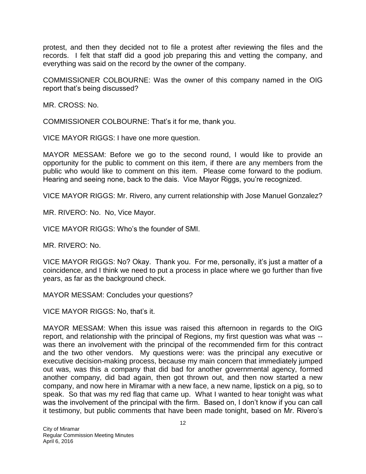protest, and then they decided not to file a protest after reviewing the files and the records. I felt that staff did a good job preparing this and vetting the company, and everything was said on the record by the owner of the company.

COMMISSIONER COLBOURNE: Was the owner of this company named in the OIG report that's being discussed?

MR. CROSS: No.

COMMISSIONER COLBOURNE: That's it for me, thank you.

VICE MAYOR RIGGS: I have one more question.

MAYOR MESSAM: Before we go to the second round, I would like to provide an opportunity for the public to comment on this item, if there are any members from the public who would like to comment on this item. Please come forward to the podium. Hearing and seeing none, back to the dais. Vice Mayor Riggs, you're recognized.

VICE MAYOR RIGGS: Mr. Rivero, any current relationship with Jose Manuel Gonzalez?

MR. RIVERO: No. No, Vice Mayor.

VICE MAYOR RIGGS: Who's the founder of SMI.

MR. RIVERO: No.

VICE MAYOR RIGGS: No? Okay. Thank you. For me, personally, it's just a matter of a coincidence, and I think we need to put a process in place where we go further than five years, as far as the background check.

MAYOR MESSAM: Concludes your questions?

VICE MAYOR RIGGS: No, that's it.

MAYOR MESSAM: When this issue was raised this afternoon in regards to the OIG report, and relationship with the principal of Regions, my first question was what was - was there an involvement with the principal of the recommended firm for this contract and the two other vendors. My questions were: was the principal any executive or executive decision-making process, because my main concern that immediately jumped out was, was this a company that did bad for another governmental agency, formed another company, did bad again, then got thrown out, and then now started a new company, and now here in Miramar with a new face, a new name, lipstick on a pig, so to speak. So that was my red flag that came up. What I wanted to hear tonight was what was the involvement of the principal with the firm. Based on, I don't know if you can call it testimony, but public comments that have been made tonight, based on Mr. Rivero's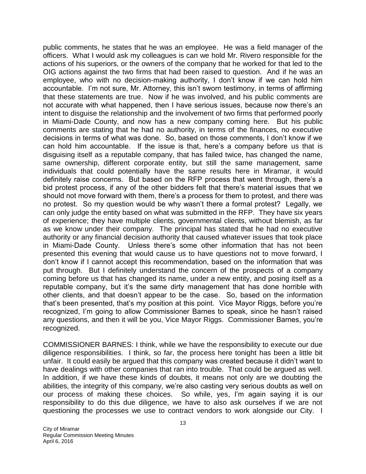public comments, he states that he was an employee. He was a field manager of the officers. What I would ask my colleagues is can we hold Mr. Rivero responsible for the actions of his superiors, or the owners of the company that he worked for that led to the OIG actions against the two firms that had been raised to question. And if he was an employee, who with no decision-making authority, I don't know if we can hold him accountable. I'm not sure, Mr. Attorney, this isn't sworn testimony, in terms of affirming that these statements are true. Now if he was involved, and his public comments are not accurate with what happened, then I have serious issues, because now there's an intent to disguise the relationship and the involvement of two firms that performed poorly in Miami-Dade County, and now has a new company coming here. But his public comments are stating that he had no authority, in terms of the finances, no executive decisions in terms of what was done. So, based on those comments, I don't know if we can hold him accountable. If the issue is that, here's a company before us that is disguising itself as a reputable company, that has failed twice, has changed the name, same ownership, different corporate entity, but still the same management, same individuals that could potentially have the same results here in Miramar, it would definitely raise concerns. But based on the RFP process that went through, there's a bid protest process, if any of the other bidders felt that there's material issues that we should not move forward with them, there's a process for them to protest, and there was no protest. So my question would be why wasn't there a formal protest? Legally, we can only judge the entity based on what was submitted in the RFP. They have six years of experience; they have multiple clients, governmental clients, without blemish, as far as we know under their company. The principal has stated that he had no executive authority or any financial decision authority that caused whatever issues that took place in Miami-Dade County. Unless there's some other information that has not been presented this evening that would cause us to have questions not to move forward, I don't know if I cannot accept this recommendation, based on the information that was put through. But I definitely understand the concern of the prospects of a company coming before us that has changed its name, under a new entity, and posing itself as a reputable company, but it's the same dirty management that has done horrible with other clients, and that doesn't appear to be the case. So, based on the information that's been presented, that's my position at this point. Vice Mayor Riggs, before you're recognized, I'm going to allow Commissioner Barnes to speak, since he hasn't raised any questions, and then it will be you, Vice Mayor Riggs. Commissioner Barnes, you're recognized.

COMMISSIONER BARNES: I think, while we have the responsibility to execute our due diligence responsibilities. I think, so far, the process here tonight has been a little bit unfair. It could easily be argued that this company was created because it didn't want to have dealings with other companies that ran into trouble. That could be argued as well. In addition, if we have these kinds of doubts, it means not only are we doubting the abilities, the integrity of this company, we're also casting very serious doubts as well on our process of making these choices. So while, yes, I'm again saying it is our responsibility to do this due diligence, we have to also ask ourselves if we are not questioning the processes we use to contract vendors to work alongside our City. I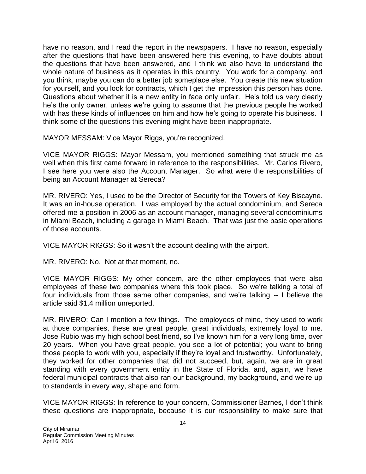have no reason, and I read the report in the newspapers. I have no reason, especially after the questions that have been answered here this evening, to have doubts about the questions that have been answered, and I think we also have to understand the whole nature of business as it operates in this country. You work for a company, and you think, maybe you can do a better job someplace else. You create this new situation for yourself, and you look for contracts, which I get the impression this person has done. Questions about whether it is a new entity in face only unfair. He's told us very clearly he's the only owner, unless we're going to assume that the previous people he worked with has these kinds of influences on him and how he's going to operate his business. I think some of the questions this evening might have been inappropriate.

MAYOR MESSAM: Vice Mayor Riggs, you're recognized.

VICE MAYOR RIGGS: Mayor Messam, you mentioned something that struck me as well when this first came forward in reference to the responsibilities. Mr. Carlos Rivero, I see here you were also the Account Manager. So what were the responsibilities of being an Account Manager at Sereca?

MR. RIVERO: Yes, I used to be the Director of Security for the Towers of Key Biscayne. It was an in-house operation. I was employed by the actual condominium, and Sereca offered me a position in 2006 as an account manager, managing several condominiums in Miami Beach, including a garage in Miami Beach. That was just the basic operations of those accounts.

VICE MAYOR RIGGS: So it wasn't the account dealing with the airport.

MR. RIVERO: No. Not at that moment, no.

VICE MAYOR RIGGS: My other concern, are the other employees that were also employees of these two companies where this took place. So we're talking a total of four individuals from those same other companies, and we're talking -- I believe the article said \$1.4 million unreported.

MR. RIVERO: Can I mention a few things. The employees of mine, they used to work at those companies, these are great people, great individuals, extremely loyal to me. Jose Rubio was my high school best friend, so I've known him for a very long time, over 20 years. When you have great people, you see a lot of potential; you want to bring those people to work with you, especially if they're loyal and trustworthy. Unfortunately, they worked for other companies that did not succeed, but, again, we are in great standing with every government entity in the State of Florida, and, again, we have federal municipal contracts that also ran our background, my background, and we're up to standards in every way, shape and form.

VICE MAYOR RIGGS: In reference to your concern, Commissioner Barnes, I don't think these questions are inappropriate, because it is our responsibility to make sure that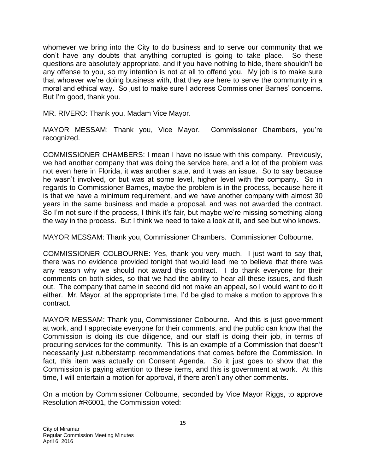whomever we bring into the City to do business and to serve our community that we don't have any doubts that anything corrupted is going to take place. So these questions are absolutely appropriate, and if you have nothing to hide, there shouldn't be any offense to you, so my intention is not at all to offend you. My job is to make sure that whoever we're doing business with, that they are here to serve the community in a moral and ethical way. So just to make sure I address Commissioner Barnes' concerns. But I'm good, thank you.

MR. RIVERO: Thank you, Madam Vice Mayor.

MAYOR MESSAM: Thank you, Vice Mayor. Commissioner Chambers, you're recognized.

COMMISSIONER CHAMBERS: I mean I have no issue with this company. Previously, we had another company that was doing the service here, and a lot of the problem was not even here in Florida, it was another state, and it was an issue. So to say because he wasn't involved, or but was at some level, higher level with the company. So in regards to Commissioner Barnes, maybe the problem is in the process, because here it is that we have a minimum requirement, and we have another company with almost 30 years in the same business and made a proposal, and was not awarded the contract. So I'm not sure if the process, I think it's fair, but maybe we're missing something along the way in the process. But I think we need to take a look at it, and see but who knows.

MAYOR MESSAM: Thank you, Commissioner Chambers. Commissioner Colbourne.

COMMISSIONER COLBOURNE: Yes, thank you very much. I just want to say that, there was no evidence provided tonight that would lead me to believe that there was any reason why we should not award this contract. I do thank everyone for their comments on both sides, so that we had the ability to hear all these issues, and flush out. The company that came in second did not make an appeal, so I would want to do it either. Mr. Mayor, at the appropriate time, I'd be glad to make a motion to approve this contract.

MAYOR MESSAM: Thank you, Commissioner Colbourne. And this is just government at work, and I appreciate everyone for their comments, and the public can know that the Commission is doing its due diligence, and our staff is doing their job, in terms of procuring services for the community. This is an example of a Commission that doesn't necessarily just rubberstamp recommendations that comes before the Commission. In fact, this item was actually on Consent Agenda. So it just goes to show that the Commission is paying attention to these items, and this is government at work. At this time, I will entertain a motion for approval, if there aren't any other comments.

On a motion by Commissioner Colbourne, seconded by Vice Mayor Riggs, to approve Resolution #R6001, the Commission voted: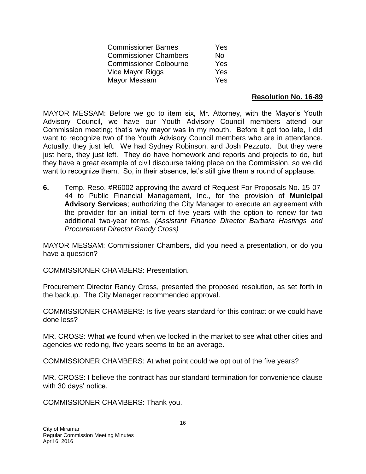| <b>Commissioner Barnes</b>    | Yes |
|-------------------------------|-----|
| <b>Commissioner Chambers</b>  | No. |
| <b>Commissioner Colbourne</b> | Yes |
| Vice Mayor Riggs              | Yes |
| Mayor Messam                  | Yes |

#### **Resolution No. 16-89**

MAYOR MESSAM: Before we go to item six, Mr. Attorney, with the Mayor's Youth Advisory Council, we have our Youth Advisory Council members attend our Commission meeting; that's why mayor was in my mouth. Before it got too late, I did want to recognize two of the Youth Advisory Council members who are in attendance. Actually, they just left. We had Sydney Robinson, and Josh Pezzuto. But they were just here, they just left. They do have homework and reports and projects to do, but they have a great example of civil discourse taking place on the Commission, so we did want to recognize them. So, in their absence, let's still give them a round of applause.

**6.** Temp. Reso. #R6002 approving the award of Request For Proposals No. 15-07- 44 to Public Financial Management, Inc., for the provision of **Municipal Advisory Services**; authorizing the City Manager to execute an agreement with the provider for an initial term of five years with the option to renew for two additional two-year terms. *(Assistant Finance Director Barbara Hastings and Procurement Director Randy Cross)*

MAYOR MESSAM: Commissioner Chambers, did you need a presentation, or do you have a question?

COMMISSIONER CHAMBERS: Presentation.

Procurement Director Randy Cross, presented the proposed resolution, as set forth in the backup. The City Manager recommended approval.

COMMISSIONER CHAMBERS: Is five years standard for this contract or we could have done less?

MR. CROSS: What we found when we looked in the market to see what other cities and agencies we redoing, five years seems to be an average.

COMMISSIONER CHAMBERS: At what point could we opt out of the five years?

MR. CROSS: I believe the contract has our standard termination for convenience clause with 30 days' notice.

COMMISSIONER CHAMBERS: Thank you.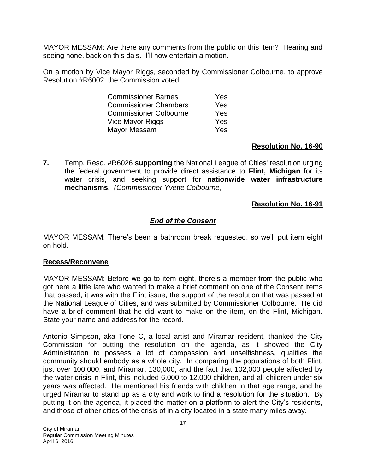MAYOR MESSAM: Are there any comments from the public on this item? Hearing and seeing none, back on this dais. I'll now entertain a motion.

On a motion by Vice Mayor Riggs, seconded by Commissioner Colbourne, to approve Resolution #R6002, the Commission voted:

| <b>Commissioner Barnes</b>    | Yes |
|-------------------------------|-----|
| <b>Commissioner Chambers</b>  | Yes |
| <b>Commissioner Colbourne</b> | Yes |
| Vice Mayor Riggs              | Yes |
| Mayor Messam                  | Yes |

### **Resolution No. 16-90**

**7.** Temp. Reso. #R6026 **supporting** the National League of Cities' resolution urging the federal government to provide direct assistance to **Flint, Michigan** for its water crisis, and seeking support for **nationwide water infrastructure mechanisms.** *(Commissioner Yvette Colbourne)*

### **Resolution No. 16-91**

## *End of the Consent*

MAYOR MESSAM: There's been a bathroom break requested, so we'll put item eight on hold.

### **Recess/Reconvene**

MAYOR MESSAM: Before we go to item eight, there's a member from the public who got here a little late who wanted to make a brief comment on one of the Consent items that passed, it was with the Flint issue, the support of the resolution that was passed at the National League of Cities, and was submitted by Commissioner Colbourne. He did have a brief comment that he did want to make on the item, on the Flint, Michigan. State your name and address for the record.

Antonio Simpson, aka Tone C, a local artist and Miramar resident, thanked the City Commission for putting the resolution on the agenda, as it showed the City Administration to possess a lot of compassion and unselfishness, qualities the community should embody as a whole city. In comparing the populations of both Flint, just over 100,000, and Miramar, 130,000, and the fact that 102,000 people affected by the water crisis in Flint, this included 6,000 to 12,000 children, and all children under six years was affected. He mentioned his friends with children in that age range, and he urged Miramar to stand up as a city and work to find a resolution for the situation. By putting it on the agenda, it placed the matter on a platform to alert the City's residents, and those of other cities of the crisis of in a city located in a state many miles away.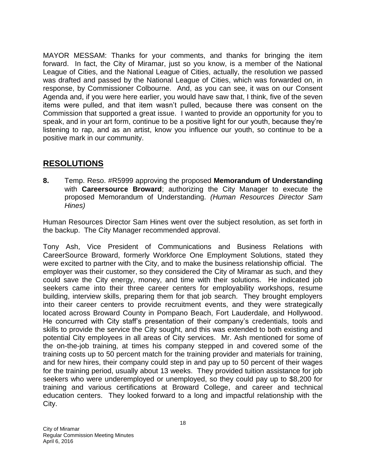MAYOR MESSAM: Thanks for your comments, and thanks for bringing the item forward. In fact, the City of Miramar, just so you know, is a member of the National League of Cities, and the National League of Cities, actually, the resolution we passed was drafted and passed by the National League of Cities, which was forwarded on, in response, by Commissioner Colbourne. And, as you can see, it was on our Consent Agenda and, if you were here earlier, you would have saw that, I think, five of the seven items were pulled, and that item wasn't pulled, because there was consent on the Commission that supported a great issue. I wanted to provide an opportunity for you to speak, and in your art form, continue to be a positive light for our youth, because they're listening to rap, and as an artist, know you influence our youth, so continue to be a positive mark in our community.

## **RESOLUTIONS**

**8.** Temp. Reso. #R5999 approving the proposed **Memorandum of Understanding** with **Careersource Broward**; authorizing the City Manager to execute the proposed Memorandum of Understanding. *(Human Resources Director Sam Hines)*

Human Resources Director Sam Hines went over the subject resolution, as set forth in the backup. The City Manager recommended approval.

Tony Ash, Vice President of Communications and Business Relations with CareerSource Broward, formerly Workforce One Employment Solutions, stated they were excited to partner with the City, and to make the business relationship official. The employer was their customer, so they considered the City of Miramar as such, and they could save the City energy, money, and time with their solutions. He indicated job seekers came into their three career centers for employability workshops, resume building, interview skills, preparing them for that job search. They brought employers into their career centers to provide recruitment events, and they were strategically located across Broward County in Pompano Beach, Fort Lauderdale, and Hollywood. He concurred with City staff's presentation of their company's credentials, tools and skills to provide the service the City sought, and this was extended to both existing and potential City employees in all areas of City services. Mr. Ash mentioned for some of the on-the-job training, at times his company stepped in and covered some of the training costs up to 50 percent match for the training provider and materials for training, and for new hires, their company could step in and pay up to 50 percent of their wages for the training period, usually about 13 weeks. They provided tuition assistance for job seekers who were underemployed or unemployed, so they could pay up to \$8,200 for training and various certifications at Broward College, and career and technical education centers. They looked forward to a long and impactful relationship with the City.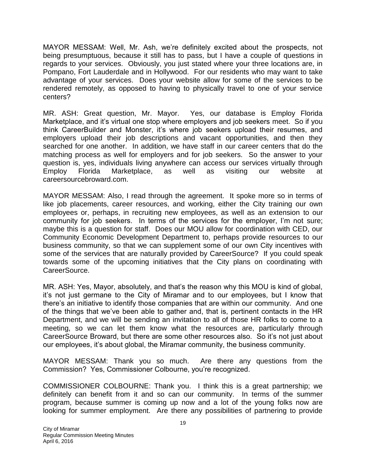MAYOR MESSAM: Well, Mr. Ash, we're definitely excited about the prospects, not being presumptuous, because it still has to pass, but I have a couple of questions in regards to your services. Obviously, you just stated where your three locations are, in Pompano, Fort Lauderdale and in Hollywood. For our residents who may want to take advantage of your services. Does your website allow for some of the services to be rendered remotely, as opposed to having to physically travel to one of your service centers?

MR. ASH: Great question, Mr. Mayor. Yes, our database is Employ Florida Marketplace, and it's virtual one stop where employers and job seekers meet. So if you think CareerBuilder and Monster, it's where job seekers upload their resumes, and employers upload their job descriptions and vacant opportunities, and then they searched for one another. In addition, we have staff in our career centers that do the matching process as well for employers and for job seekers. So the answer to your question is, yes, individuals living anywhere can access our services virtually through Employ Florida Marketplace, as well as visiting our website at careersourcebroward.com.

MAYOR MESSAM: Also, I read through the agreement. It spoke more so in terms of like job placements, career resources, and working, either the City training our own employees or, perhaps, in recruiting new employees, as well as an extension to our community for job seekers. In terms of the services for the employer, I'm not sure; maybe this is a question for staff. Does our MOU allow for coordination with CED, our Community Economic Development Department to, perhaps provide resources to our business community, so that we can supplement some of our own City incentives with some of the services that are naturally provided by CareerSource? If you could speak towards some of the upcoming initiatives that the City plans on coordinating with CareerSource.

MR. ASH: Yes, Mayor, absolutely, and that's the reason why this MOU is kind of global, it's not just germane to the City of Miramar and to our employees, but I know that there's an initiative to identify those companies that are within our community. And one of the things that we've been able to gather and, that is, pertinent contacts in the HR Department, and we will be sending an invitation to all of those HR folks to come to a meeting, so we can let them know what the resources are, particularly through CareerSource Broward, but there are some other resources also. So it's not just about our employees, it's about global, the Miramar community, the business community.

MAYOR MESSAM: Thank you so much. Are there any questions from the Commission? Yes, Commissioner Colbourne, you're recognized.

COMMISSIONER COLBOURNE: Thank you. I think this is a great partnership; we definitely can benefit from it and so can our community. In terms of the summer program, because summer is coming up now and a lot of the young folks now are looking for summer employment. Are there any possibilities of partnering to provide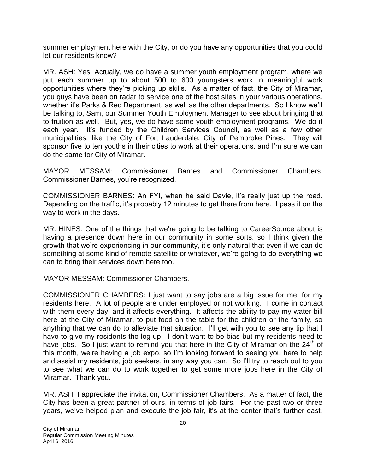summer employment here with the City, or do you have any opportunities that you could let our residents know?

MR. ASH: Yes. Actually, we do have a summer youth employment program, where we put each summer up to about 500 to 600 youngsters work in meaningful work opportunities where they're picking up skills. As a matter of fact, the City of Miramar, you guys have been on radar to service one of the host sites in your various operations, whether it's Parks & Rec Department, as well as the other departments. So I know we'll be talking to, Sam, our Summer Youth Employment Manager to see about bringing that to fruition as well. But, yes, we do have some youth employment programs. We do it each year. It's funded by the Children Services Council, as well as a few other municipalities, like the City of Fort Lauderdale, City of Pembroke Pines. They will sponsor five to ten youths in their cities to work at their operations, and I'm sure we can do the same for City of Miramar.

MAYOR MESSAM: Commissioner Barnes and Commissioner Chambers. Commissioner Barnes, you're recognized.

COMMISSIONER BARNES: An FYI, when he said Davie, it's really just up the road. Depending on the traffic, it's probably 12 minutes to get there from here. I pass it on the way to work in the days.

MR. HINES: One of the things that we're going to be talking to CareerSource about is having a presence down here in our community in some sorts, so I think given the growth that we're experiencing in our community, it's only natural that even if we can do something at some kind of remote satellite or whatever, we're going to do everything we can to bring their services down here too.

MAYOR MESSAM: Commissioner Chambers.

COMMISSIONER CHAMBERS: I just want to say jobs are a big issue for me, for my residents here. A lot of people are under employed or not working. I come in contact with them every day, and it affects everything. It affects the ability to pay my water bill here at the City of Miramar, to put food on the table for the children or the family, so anything that we can do to alleviate that situation. I'll get with you to see any tip that I have to give my residents the leg up. I don't want to be bias but my residents need to have jobs. So I just want to remind you that here in the City of Miramar on the  $24<sup>th</sup>$  of this month, we're having a job expo, so I'm looking forward to seeing you here to help and assist my residents, job seekers, in any way you can. So I'll try to reach out to you to see what we can do to work together to get some more jobs here in the City of Miramar. Thank you.

MR. ASH: I appreciate the invitation, Commissioner Chambers. As a matter of fact, the City has been a great partner of ours, in terms of job fairs. For the past two or three years, we've helped plan and execute the job fair, it's at the center that's further east,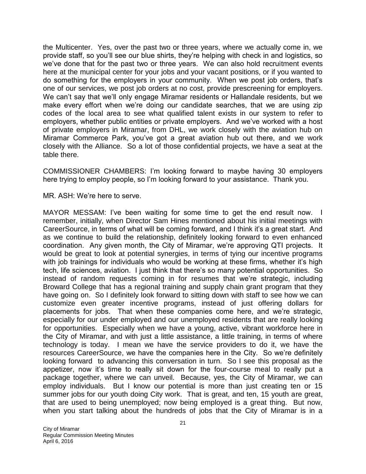the Multicenter. Yes, over the past two or three years, where we actually come in, we provide staff, so you'll see our blue shirts, they're helping with check in and logistics, so we've done that for the past two or three years. We can also hold recruitment events here at the municipal center for your jobs and your vacant positions, or if you wanted to do something for the employers in your community. When we post job orders, that's one of our services, we post job orders at no cost, provide prescreening for employers. We can't say that we'll only engage Miramar residents or Hallandale residents, but we make every effort when we're doing our candidate searches, that we are using zip codes of the local area to see what qualified talent exists in our system to refer to employers, whether public entities or private employers. And we've worked with a host of private employers in Miramar, from DHL, we work closely with the aviation hub on Miramar Commerce Park, you've got a great aviation hub out there, and we work closely with the Alliance. So a lot of those confidential projects, we have a seat at the table there.

COMMISSIONER CHAMBERS: I'm looking forward to maybe having 30 employers here trying to employ people, so I'm looking forward to your assistance. Thank you.

MR. ASH: We're here to serve.

MAYOR MESSAM: I've been waiting for some time to get the end result now. I remember, initially, when Director Sam Hines mentioned about his initial meetings with CareerSource, in terms of what will be coming forward, and I think it's a great start. And as we continue to build the relationship, definitely looking forward to even enhanced coordination. Any given month, the City of Miramar, we're approving QTI projects. It would be great to look at potential synergies, in terms of tying our incentive programs with job trainings for individuals who would be working at these firms, whether it's high tech, life sciences, aviation. I just think that there's so many potential opportunities. So instead of random requests coming in for resumes that we're strategic, including Broward College that has a regional training and supply chain grant program that they have going on. So I definitely look forward to sitting down with staff to see how we can customize even greater incentive programs, instead of just offering dollars for placements for jobs. That when these companies come here, and we're strategic, especially for our under employed and our unemployed residents that are really looking for opportunities. Especially when we have a young, active, vibrant workforce here in the City of Miramar, and with just a little assistance, a little training, in terms of where technology is today. I mean we have the service providers to do it, we have the resources CareerSource, we have the companies here in the City. So we're definitely looking forward to advancing this conversation in turn. So I see this proposal as the appetizer, now it's time to really sit down for the four-course meal to really put a package together, where we can unveil. Because, yes, the City of Miramar, we can employ individuals. But I know our potential is more than just creating ten or 15 summer jobs for our youth doing City work. That is great, and ten, 15 youth are great, that are used to being unemployed; now being employed is a great thing. But now, when you start talking about the hundreds of jobs that the City of Miramar is in a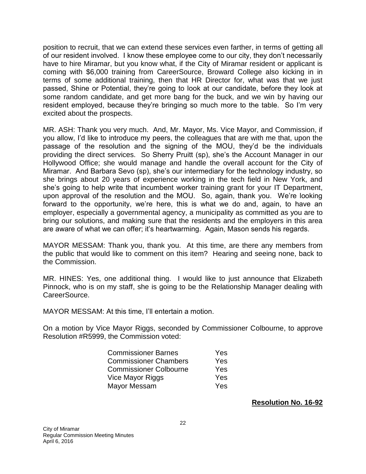position to recruit, that we can extend these services even farther, in terms of getting all of our resident involved. I know these employee come to our city, they don't necessarily have to hire Miramar, but you know what, if the City of Miramar resident or applicant is coming with \$6,000 training from CareerSource, Broward College also kicking in in terms of some additional training, then that HR Director for, what was that we just passed, Shine or Potential, they're going to look at our candidate, before they look at some random candidate, and get more bang for the buck, and we win by having our resident employed, because they're bringing so much more to the table. So I'm very excited about the prospects.

MR. ASH: Thank you very much. And, Mr. Mayor, Ms. Vice Mayor, and Commission, if you allow, I'd like to introduce my peers, the colleagues that are with me that, upon the passage of the resolution and the signing of the MOU, they'd be the individuals providing the direct services. So Sherry Pruitt (sp), she's the Account Manager in our Hollywood Office; she would manage and handle the overall account for the City of Miramar. And Barbara Sevo (sp), she's our intermediary for the technology industry, so she brings about 20 years of experience working in the tech field in New York, and she's going to help write that incumbent worker training grant for your IT Department, upon approval of the resolution and the MOU. So, again, thank you. We're looking forward to the opportunity, we're here, this is what we do and, again, to have an employer, especially a governmental agency, a municipality as committed as you are to bring our solutions, and making sure that the residents and the employers in this area are aware of what we can offer; it's heartwarming. Again, Mason sends his regards.

MAYOR MESSAM: Thank you, thank you. At this time, are there any members from the public that would like to comment on this item? Hearing and seeing none, back to the Commission.

MR. HINES: Yes, one additional thing. I would like to just announce that Elizabeth Pinnock, who is on my staff, she is going to be the Relationship Manager dealing with CareerSource.

MAYOR MESSAM: At this time, I'll entertain a motion.

On a motion by Vice Mayor Riggs, seconded by Commissioner Colbourne, to approve Resolution #R5999, the Commission voted:

| <b>Commissioner Barnes</b>    | Yes        |
|-------------------------------|------------|
| <b>Commissioner Chambers</b>  | <b>Yes</b> |
| <b>Commissioner Colbourne</b> | <b>Yes</b> |
| Vice Mayor Riggs              | Yes        |
| Mayor Messam                  | <b>Yes</b> |

**Resolution No. 16-92**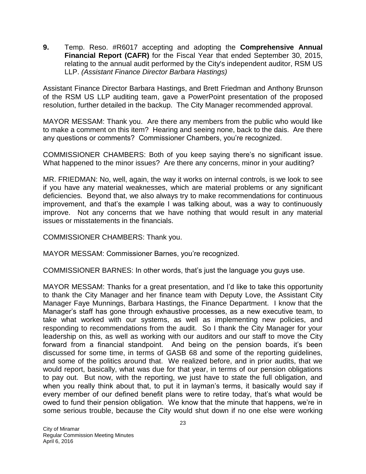**9.** Temp. Reso. #R6017 accepting and adopting the **Comprehensive Annual Financial Report (CAFR)** for the Fiscal Year that ended September 30, 2015, relating to the annual audit performed by the City's independent auditor, RSM US LLP. *(Assistant Finance Director Barbara Hastings)*

Assistant Finance Director Barbara Hastings, and Brett Friedman and Anthony Brunson of the RSM US LLP auditing team, gave a PowerPoint presentation of the proposed resolution, further detailed in the backup. The City Manager recommended approval.

MAYOR MESSAM: Thank you. Are there any members from the public who would like to make a comment on this item? Hearing and seeing none, back to the dais. Are there any questions or comments? Commissioner Chambers, you're recognized.

COMMISSIONER CHAMBERS: Both of you keep saying there's no significant issue. What happened to the minor issues? Are there any concerns, minor in your auditing?

MR. FRIEDMAN: No, well, again, the way it works on internal controls, is we look to see if you have any material weaknesses, which are material problems or any significant deficiencies. Beyond that, we also always try to make recommendations for continuous improvement, and that's the example I was talking about, was a way to continuously improve. Not any concerns that we have nothing that would result in any material issues or misstatements in the financials.

COMMISSIONER CHAMBERS: Thank you.

MAYOR MESSAM: Commissioner Barnes, you're recognized.

COMMISSIONER BARNES: In other words, that's just the language you guys use.

MAYOR MESSAM: Thanks for a great presentation, and I'd like to take this opportunity to thank the City Manager and her finance team with Deputy Love, the Assistant City Manager Faye Munnings, Barbara Hastings, the Finance Department. I know that the Manager's staff has gone through exhaustive processes, as a new executive team, to take what worked with our systems, as well as implementing new policies, and responding to recommendations from the audit. So I thank the City Manager for your leadership on this, as well as working with our auditors and our staff to move the City forward from a financial standpoint. And being on the pension boards, it's been discussed for some time, in terms of GASB 68 and some of the reporting guidelines, and some of the politics around that. We realized before, and in prior audits, that we would report, basically, what was due for that year, in terms of our pension obligations to pay out. But now, with the reporting, we just have to state the full obligation, and when you really think about that, to put it in layman's terms, it basically would say if every member of our defined benefit plans were to retire today, that's what would be owed to fund their pension obligation. We know that the minute that happens, we're in some serious trouble, because the City would shut down if no one else were working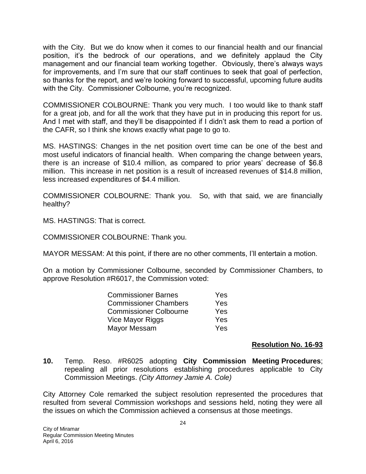with the City. But we do know when it comes to our financial health and our financial position, it's the bedrock of our operations, and we definitely applaud the City management and our financial team working together. Obviously, there's always ways for improvements, and I'm sure that our staff continues to seek that goal of perfection, so thanks for the report, and we're looking forward to successful, upcoming future audits with the City. Commissioner Colbourne, you're recognized.

COMMISSIONER COLBOURNE: Thank you very much. I too would like to thank staff for a great job, and for all the work that they have put in in producing this report for us. And I met with staff, and they'll be disappointed if I didn't ask them to read a portion of the CAFR, so I think she knows exactly what page to go to.

MS. HASTINGS: Changes in the net position overt time can be one of the best and most useful indicators of financial health. When comparing the change between years, there is an increase of \$10.4 million, as compared to prior years' decrease of \$6.8 million. This increase in net position is a result of increased revenues of \$14.8 million, less increased expenditures of \$4.4 million.

COMMISSIONER COLBOURNE: Thank you. So, with that said, we are financially healthy?

MS. HASTINGS: That is correct.

COMMISSIONER COLBOURNE: Thank you.

MAYOR MESSAM: At this point, if there are no other comments, I'll entertain a motion.

On a motion by Commissioner Colbourne, seconded by Commissioner Chambers, to approve Resolution #R6017, the Commission voted:

| <b>Commissioner Barnes</b>    | Yes |
|-------------------------------|-----|
| <b>Commissioner Chambers</b>  | Yes |
| <b>Commissioner Colbourne</b> | Yes |
| Vice Mayor Riggs              | Yes |
| Mayor Messam                  | Yes |

## **Resolution No. 16-93**

**10.** Temp. Reso. #R6025 adopting **City Commission Meeting Procedures**; repealing all prior resolutions establishing procedures applicable to City Commission Meetings. *(City Attorney Jamie A. Cole)*

City Attorney Cole remarked the subject resolution represented the procedures that resulted from several Commission workshops and sessions held, noting they were all the issues on which the Commission achieved a consensus at those meetings.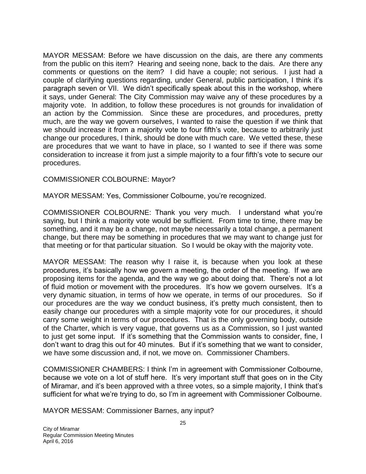MAYOR MESSAM: Before we have discussion on the dais, are there any comments from the public on this item? Hearing and seeing none, back to the dais. Are there any comments or questions on the item? I did have a couple; not serious. I just had a couple of clarifying questions regarding, under General, public participation, I think it's paragraph seven or VII. We didn't specifically speak about this in the workshop, where it says, under General: The City Commission may waive any of these procedures by a majority vote. In addition, to follow these procedures is not grounds for invalidation of an action by the Commission. Since these are procedures, and procedures, pretty much, are the way we govern ourselves, I wanted to raise the question if we think that we should increase it from a majority vote to four fifth's vote, because to arbitrarily just change our procedures, I think, should be done with much care. We vetted these, these are procedures that we want to have in place, so I wanted to see if there was some consideration to increase it from just a simple majority to a four fifth's vote to secure our procedures.

### COMMISSIONER COLBOURNE: Mayor?

MAYOR MESSAM: Yes, Commissioner Colbourne, you're recognized.

COMMISSIONER COLBOURNE: Thank you very much. I understand what you're saying, but I think a majority vote would be sufficient. From time to time, there may be something, and it may be a change, not maybe necessarily a total change, a permanent change, but there may be something in procedures that we may want to change just for that meeting or for that particular situation. So I would be okay with the majority vote.

MAYOR MESSAM: The reason why I raise it, is because when you look at these procedures, it's basically how we govern a meeting, the order of the meeting. If we are proposing items for the agenda, and the way we go about doing that. There's not a lot of fluid motion or movement with the procedures. It's how we govern ourselves. It's a very dynamic situation, in terms of how we operate, in terms of our procedures. So if our procedures are the way we conduct business, it's pretty much consistent, then to easily change our procedures with a simple majority vote for our procedures, it should carry some weight in terms of our procedures. That is the only governing body, outside of the Charter, which is very vague, that governs us as a Commission, so I just wanted to just get some input. If it's something that the Commission wants to consider, fine, I don't want to drag this out for 40 minutes. But if it's something that we want to consider, we have some discussion and, if not, we move on. Commissioner Chambers.

COMMISSIONER CHAMBERS: I think I'm in agreement with Commissioner Colbourne, because we vote on a lot of stuff here. It's very important stuff that goes on in the City of Miramar, and it's been approved with a three votes, so a simple majority, I think that's sufficient for what we're trying to do, so I'm in agreement with Commissioner Colbourne.

MAYOR MESSAM: Commissioner Barnes, any input?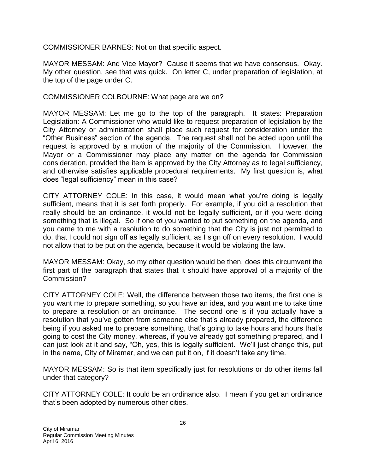COMMISSIONER BARNES: Not on that specific aspect.

MAYOR MESSAM: And Vice Mayor? Cause it seems that we have consensus. Okay. My other question, see that was quick. On letter C, under preparation of legislation, at the top of the page under C.

COMMISSIONER COLBOURNE: What page are we on?

MAYOR MESSAM: Let me go to the top of the paragraph. It states: Preparation Legislation: A Commissioner who would like to request preparation of legislation by the City Attorney or administration shall place such request for consideration under the "Other Business" section of the agenda. The request shall not be acted upon until the request is approved by a motion of the majority of the Commission. However, the Mayor or a Commissioner may place any matter on the agenda for Commission consideration, provided the item is approved by the City Attorney as to legal sufficiency, and otherwise satisfies applicable procedural requirements. My first question is, what does "legal sufficiency" mean in this case?

CITY ATTORNEY COLE: In this case, it would mean what you're doing is legally sufficient, means that it is set forth properly. For example, if you did a resolution that really should be an ordinance, it would not be legally sufficient, or if you were doing something that is illegal. So if one of you wanted to put something on the agenda, and you came to me with a resolution to do something that the City is just not permitted to do, that I could not sign off as legally sufficient, as I sign off on every resolution. I would not allow that to be put on the agenda, because it would be violating the law.

MAYOR MESSAM: Okay, so my other question would be then, does this circumvent the first part of the paragraph that states that it should have approval of a majority of the Commission?

CITY ATTORNEY COLE: Well, the difference between those two items, the first one is you want me to prepare something, so you have an idea, and you want me to take time to prepare a resolution or an ordinance. The second one is if you actually have a resolution that you've gotten from someone else that's already prepared, the difference being if you asked me to prepare something, that's going to take hours and hours that's going to cost the City money, whereas, if you've already got something prepared, and I can just look at it and say, "Oh, yes, this is legally sufficient. We'll just change this, put in the name, City of Miramar, and we can put it on, if it doesn't take any time.

MAYOR MESSAM: So is that item specifically just for resolutions or do other items fall under that category?

CITY ATTORNEY COLE: It could be an ordinance also. I mean if you get an ordinance that's been adopted by numerous other cities.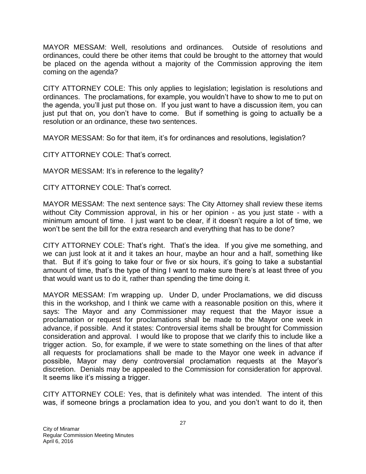MAYOR MESSAM: Well, resolutions and ordinances. Outside of resolutions and ordinances, could there be other items that could be brought to the attorney that would be placed on the agenda without a majority of the Commission approving the item coming on the agenda?

CITY ATTORNEY COLE: This only applies to legislation; legislation is resolutions and ordinances. The proclamations, for example, you wouldn't have to show to me to put on the agenda, you'll just put those on. If you just want to have a discussion item, you can just put that on, you don't have to come. But if something is going to actually be a resolution or an ordinance, these two sentences.

MAYOR MESSAM: So for that item, it's for ordinances and resolutions, legislation?

CITY ATTORNEY COLE: That's correct.

MAYOR MESSAM: It's in reference to the legality?

CITY ATTORNEY COLE: That's correct.

MAYOR MESSAM: The next sentence says: The City Attorney shall review these items without City Commission approval, in his or her opinion - as you just state - with a minimum amount of time. I just want to be clear, if it doesn't require a lot of time, we won't be sent the bill for the extra research and everything that has to be done?

CITY ATTORNEY COLE: That's right. That's the idea. If you give me something, and we can just look at it and it takes an hour, maybe an hour and a half, something like that. But if it's going to take four or five or six hours, it's going to take a substantial amount of time, that's the type of thing I want to make sure there's at least three of you that would want us to do it, rather than spending the time doing it.

MAYOR MESSAM: I'm wrapping up. Under D, under Proclamations, we did discuss this in the workshop, and I think we came with a reasonable position on this, where it says: The Mayor and any Commissioner may request that the Mayor issue a proclamation or request for proclamations shall be made to the Mayor one week in advance, if possible. And it states: Controversial items shall be brought for Commission consideration and approval. I would like to propose that we clarify this to include like a trigger action. So, for example, if we were to state something on the lines of that after all requests for proclamations shall be made to the Mayor one week in advance if possible, Mayor may deny controversial proclamation requests at the Mayor's discretion. Denials may be appealed to the Commission for consideration for approval. It seems like it's missing a trigger.

CITY ATTORNEY COLE: Yes, that is definitely what was intended. The intent of this was, if someone brings a proclamation idea to you, and you don't want to do it, then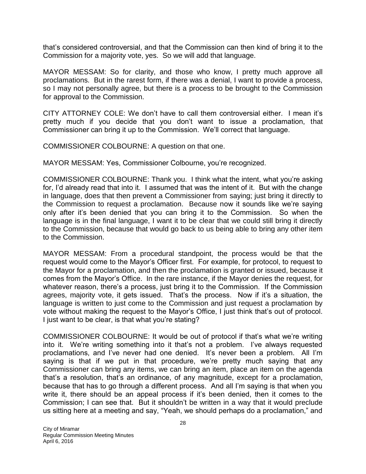that's considered controversial, and that the Commission can then kind of bring it to the Commission for a majority vote, yes. So we will add that language.

MAYOR MESSAM: So for clarity, and those who know, I pretty much approve all proclamations. But in the rarest form, if there was a denial, I want to provide a process, so I may not personally agree, but there is a process to be brought to the Commission for approval to the Commission.

CITY ATTORNEY COLE: We don't have to call them controversial either. I mean it's pretty much if you decide that you don't want to issue a proclamation, that Commissioner can bring it up to the Commission. We'll correct that language.

COMMISSIONER COLBOURNE: A question on that one.

MAYOR MESSAM: Yes, Commissioner Colbourne, you're recognized.

COMMISSIONER COLBOURNE: Thank you. I think what the intent, what you're asking for, I'd already read that into it. I assumed that was the intent of it. But with the change in language, does that then prevent a Commissioner from saying; just bring it directly to the Commission to request a proclamation. Because now it sounds like we're saying only after it's been denied that you can bring it to the Commission. So when the language is in the final language, I want it to be clear that we could still bring it directly to the Commission, because that would go back to us being able to bring any other item to the Commission.

MAYOR MESSAM: From a procedural standpoint, the process would be that the request would come to the Mayor's Officer first. For example, for protocol, to request to the Mayor for a proclamation, and then the proclamation is granted or issued, because it comes from the Mayor's Office. In the rare instance, if the Mayor denies the request, for whatever reason, there's a process, just bring it to the Commission. If the Commission agrees, majority vote, it gets issued. That's the process. Now if it's a situation, the language is written to just come to the Commission and just request a proclamation by vote without making the request to the Mayor's Office, I just think that's out of protocol. I just want to be clear, is that what you're stating?

COMMISSIONER COLBOURNE: It would be out of protocol if that's what we're writing into it. We're writing something into it that's not a problem. I've always requested proclamations, and I've never had one denied. It's never been a problem. All I'm saying is that if we put in that procedure, we're pretty much saying that any Commissioner can bring any items, we can bring an item, place an item on the agenda that's a resolution, that's an ordinance, of any magnitude, except for a proclamation, because that has to go through a different process. And all I'm saying is that when you write it, there should be an appeal process if it's been denied, then it comes to the Commission; I can see that. But it shouldn't be written in a way that it would preclude us sitting here at a meeting and say, "Yeah, we should perhaps do a proclamation," and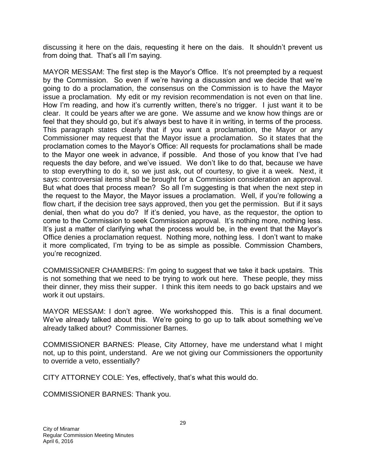discussing it here on the dais, requesting it here on the dais. It shouldn't prevent us from doing that. That's all I'm saying.

MAYOR MESSAM: The first step is the Mayor's Office. It's not preempted by a request by the Commission. So even if we're having a discussion and we decide that we're going to do a proclamation, the consensus on the Commission is to have the Mayor issue a proclamation. My edit or my revision recommendation is not even on that line. How I'm reading, and how it's currently written, there's no trigger. I just want it to be clear. It could be years after we are gone. We assume and we know how things are or feel that they should go, but it's always best to have it in writing, in terms of the process. This paragraph states clearly that if you want a proclamation, the Mayor or any Commissioner may request that the Mayor issue a proclamation. So it states that the proclamation comes to the Mayor's Office: All requests for proclamations shall be made to the Mayor one week in advance, if possible. And those of you know that I've had requests the day before, and we've issued. We don't like to do that, because we have to stop everything to do it, so we just ask, out of courtesy, to give it a week. Next, it says: controversial items shall be brought for a Commission consideration an approval. But what does that process mean? So all I'm suggesting is that when the next step in the request to the Mayor, the Mayor issues a proclamation. Well, if you're following a flow chart, if the decision tree says approved, then you get the permission. But if it says denial, then what do you do? If it's denied, you have, as the requestor, the option to come to the Commission to seek Commission approval. It's nothing more, nothing less. It's just a matter of clarifying what the process would be, in the event that the Mayor's Office denies a proclamation request. Nothing more, nothing less. I don't want to make it more complicated, I'm trying to be as simple as possible. Commission Chambers, you're recognized.

COMMISSIONER CHAMBERS: I'm going to suggest that we take it back upstairs. This is not something that we need to be trying to work out here. These people, they miss their dinner, they miss their supper. I think this item needs to go back upstairs and we work it out upstairs.

MAYOR MESSAM: I don't agree. We workshopped this. This is a final document. We've already talked about this. We're going to go up to talk about something we've already talked about? Commissioner Barnes.

COMMISSIONER BARNES: Please, City Attorney, have me understand what I might not, up to this point, understand. Are we not giving our Commissioners the opportunity to override a veto, essentially?

CITY ATTORNEY COLE: Yes, effectively, that's what this would do.

COMMISSIONER BARNES: Thank you.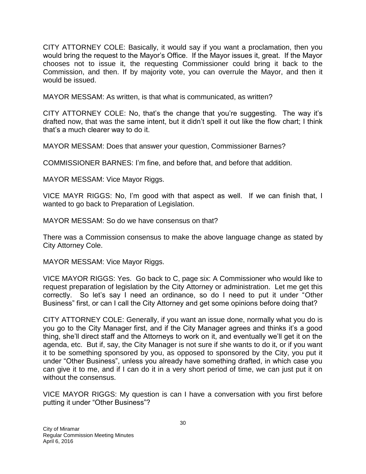CITY ATTORNEY COLE: Basically, it would say if you want a proclamation, then you would bring the request to the Mayor's Office. If the Mayor issues it, great. If the Mayor chooses not to issue it, the requesting Commissioner could bring it back to the Commission, and then. If by majority vote, you can overrule the Mayor, and then it would be issued.

MAYOR MESSAM: As written, is that what is communicated, as written?

CITY ATTORNEY COLE: No, that's the change that you're suggesting. The way it's drafted now, that was the same intent, but it didn't spell it out like the flow chart; I think that's a much clearer way to do it.

MAYOR MESSAM: Does that answer your question, Commissioner Barnes?

COMMISSIONER BARNES: I'm fine, and before that, and before that addition.

MAYOR MESSAM: Vice Mayor Riggs.

VICE MAYR RIGGS: No, I'm good with that aspect as well. If we can finish that, I wanted to go back to Preparation of Legislation.

MAYOR MESSAM: So do we have consensus on that?

There was a Commission consensus to make the above language change as stated by City Attorney Cole.

MAYOR MESSAM: Vice Mayor Riggs.

VICE MAYOR RIGGS: Yes. Go back to C, page six: A Commissioner who would like to request preparation of legislation by the City Attorney or administration. Let me get this correctly. So let's say I need an ordinance, so do I need to put it under "Other Business" first, or can I call the City Attorney and get some opinions before doing that?

CITY ATTORNEY COLE: Generally, if you want an issue done, normally what you do is you go to the City Manager first, and if the City Manager agrees and thinks it's a good thing, she'll direct staff and the Attorneys to work on it, and eventually we'll get it on the agenda, etc. But if, say, the City Manager is not sure if she wants to do it, or if you want it to be something sponsored by you, as opposed to sponsored by the City, you put it under "Other Business", unless you already have something drafted, in which case you can give it to me, and if I can do it in a very short period of time, we can just put it on without the consensus.

VICE MAYOR RIGGS: My question is can I have a conversation with you first before putting it under "Other Business"?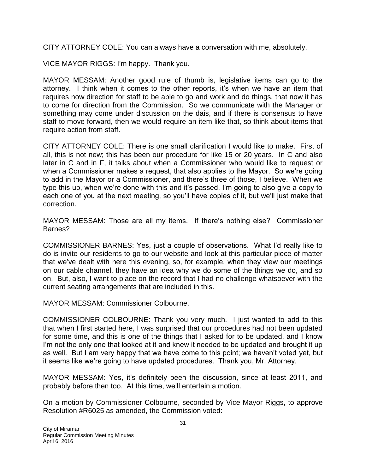CITY ATTORNEY COLE: You can always have a conversation with me, absolutely.

VICE MAYOR RIGGS: I'm happy. Thank you.

MAYOR MESSAM: Another good rule of thumb is, legislative items can go to the attorney. I think when it comes to the other reports, it's when we have an item that requires now direction for staff to be able to go and work and do things, that now it has to come for direction from the Commission. So we communicate with the Manager or something may come under discussion on the dais, and if there is consensus to have staff to move forward, then we would require an item like that, so think about items that require action from staff.

CITY ATTORNEY COLE: There is one small clarification I would like to make. First of all, this is not new; this has been our procedure for like 15 or 20 years. In C and also later in C and in F, it talks about when a Commissioner who would like to request or when a Commissioner makes a request, that also applies to the Mayor. So we're going to add in the Mayor or a Commissioner, and there's three of those, I believe. When we type this up, when we're done with this and it's passed, I'm going to also give a copy to each one of you at the next meeting, so you'll have copies of it, but we'll just make that correction.

MAYOR MESSAM: Those are all my items. If there's nothing else? Commissioner Barnes?

COMMISSIONER BARNES: Yes, just a couple of observations. What I'd really like to do is invite our residents to go to our website and look at this particular piece of matter that we've dealt with here this evening, so, for example, when they view our meetings on our cable channel, they have an idea why we do some of the things we do, and so on. But, also, I want to place on the record that I had no challenge whatsoever with the current seating arrangements that are included in this.

MAYOR MESSAM: Commissioner Colbourne.

COMMISSIONER COLBOURNE: Thank you very much. I just wanted to add to this that when I first started here, I was surprised that our procedures had not been updated for some time, and this is one of the things that I asked for to be updated, and I know I'm not the only one that looked at it and knew it needed to be updated and brought it up as well. But I am very happy that we have come to this point; we haven't voted yet, but it seems like we're going to have updated procedures. Thank you, Mr. Attorney.

MAYOR MESSAM: Yes, it's definitely been the discussion, since at least 2011, and probably before then too. At this time, we'll entertain a motion.

On a motion by Commissioner Colbourne, seconded by Vice Mayor Riggs, to approve Resolution #R6025 as amended, the Commission voted: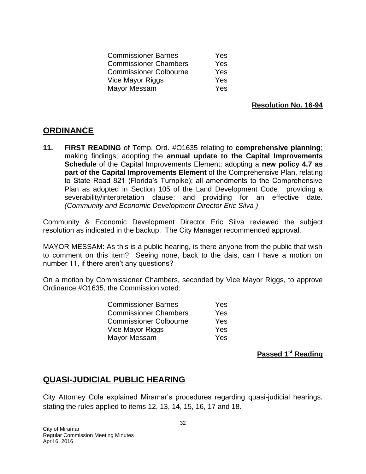| <b>Commissioner Barnes</b>    | Yes |
|-------------------------------|-----|
| <b>Commissioner Chambers</b>  | Yes |
| <b>Commissioner Colbourne</b> | Yes |
| Vice Mayor Riggs              | Yes |
| Mayor Messam                  | Yes |

**Resolution No. 16-94**

## **ORDINANCE**

**11. FIRST READING** of Temp. Ord. #O1635 relating to **comprehensive planning**; making findings; adopting the **annual update to the Capital Improvements Schedule** of the Capital Improvements Element; adopting a **new policy 4.7 as part of the Capital Improvements Element** of the Comprehensive Plan, relating to State Road 821 (Florida's Turnpike); all amendments to the Comprehensive Plan as adopted in Section 105 of the Land Development Code, providing a severability/interpretation clause; and providing for an effective date. *(Community and Economic Development Director Eric Silva )*

Community & Economic Development Director Eric Silva reviewed the subject resolution as indicated in the backup. The City Manager recommended approval.

MAYOR MESSAM: As this is a public hearing, is there anyone from the public that wish to comment on this item? Seeing none, back to the dais, can I have a motion on number 11, if there aren't any questions?

On a motion by Commissioner Chambers, seconded by Vice Mayor Riggs, to approve Ordinance #O1635, the Commission voted:

| <b>Commissioner Barnes</b>    | Yes |
|-------------------------------|-----|
| <b>Commissioner Chambers</b>  | Yes |
| <b>Commissioner Colbourne</b> | Yes |
| Vice Mayor Riggs              | Yes |
| Mayor Messam                  | Yes |

**Passed 1st Reading**

# **QUASI-JUDICIAL PUBLIC HEARING**

City Attorney Cole explained Miramar's procedures regarding quasi-judicial hearings, stating the rules applied to items 12, 13, 14, 15, 16, 17 and 18.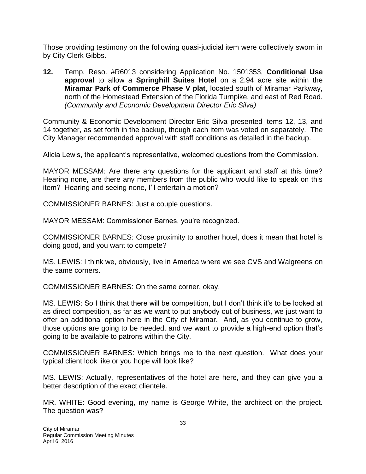Those providing testimony on the following quasi-judicial item were collectively sworn in by City Clerk Gibbs.

**12.** Temp. Reso. #R6013 considering Application No. 1501353, **Conditional Use approval** to allow a **Springhill Suites Hotel** on a 2.94 acre site within the **Miramar Park of Commerce Phase V plat**, located south of Miramar Parkway, north of the Homestead Extension of the Florida Turnpike, and east of Red Road. *(Community and Economic Development Director Eric Silva)*

Community & Economic Development Director Eric Silva presented items 12, 13, and 14 together, as set forth in the backup, though each item was voted on separately. The City Manager recommended approval with staff conditions as detailed in the backup.

Alicia Lewis, the applicant's representative, welcomed questions from the Commission.

MAYOR MESSAM: Are there any questions for the applicant and staff at this time? Hearing none, are there any members from the public who would like to speak on this item? Hearing and seeing none, I'll entertain a motion?

COMMISSIONER BARNES: Just a couple questions.

MAYOR MESSAM: Commissioner Barnes, you're recognized.

COMMISSIONER BARNES: Close proximity to another hotel, does it mean that hotel is doing good, and you want to compete?

MS. LEWIS: I think we, obviously, live in America where we see CVS and Walgreens on the same corners.

COMMISSIONER BARNES: On the same corner, okay.

MS. LEWIS: So I think that there will be competition, but I don't think it's to be looked at as direct competition, as far as we want to put anybody out of business, we just want to offer an additional option here in the City of Miramar. And, as you continue to grow, those options are going to be needed, and we want to provide a high-end option that's going to be available to patrons within the City.

COMMISSIONER BARNES: Which brings me to the next question. What does your typical client look like or you hope will look like?

MS. LEWIS: Actually, representatives of the hotel are here, and they can give you a better description of the exact clientele.

MR. WHITE: Good evening, my name is George White, the architect on the project. The question was?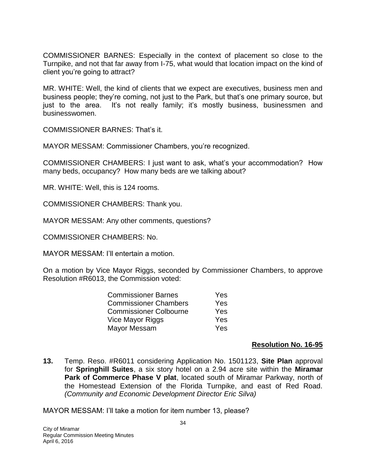COMMISSIONER BARNES: Especially in the context of placement so close to the Turnpike, and not that far away from I-75, what would that location impact on the kind of client you're going to attract?

MR. WHITE: Well, the kind of clients that we expect are executives, business men and business people; they're coming, not just to the Park, but that's one primary source, but just to the area. It's not really family; it's mostly business, businessmen and businesswomen.

COMMISSIONER BARNES: That's it.

MAYOR MESSAM: Commissioner Chambers, you're recognized.

COMMISSIONER CHAMBERS: I just want to ask, what's your accommodation? How many beds, occupancy? How many beds are we talking about?

MR. WHITE: Well, this is 124 rooms.

COMMISSIONER CHAMBERS: Thank you.

MAYOR MESSAM: Any other comments, questions?

COMMISSIONER CHAMBERS: No.

MAYOR MESSAM: I'll entertain a motion.

On a motion by Vice Mayor Riggs, seconded by Commissioner Chambers, to approve Resolution #R6013, the Commission voted:

| <b>Commissioner Barnes</b>    | Yes |
|-------------------------------|-----|
| <b>Commissioner Chambers</b>  | Yes |
| <b>Commissioner Colbourne</b> | Yes |
| Vice Mayor Riggs              | Yes |
| Mayor Messam                  | Yes |

#### **Resolution No. 16-95**

**13.** Temp. Reso. #R6011 considering Application No. 1501123, **Site Plan** approval for **Springhill Suites**, a six story hotel on a 2.94 acre site within the **Miramar Park of Commerce Phase V plat**, located south of Miramar Parkway, north of the Homestead Extension of the Florida Turnpike, and east of Red Road. *(Community and Economic Development Director Eric Silva)*

MAYOR MESSAM: I'll take a motion for item number 13, please?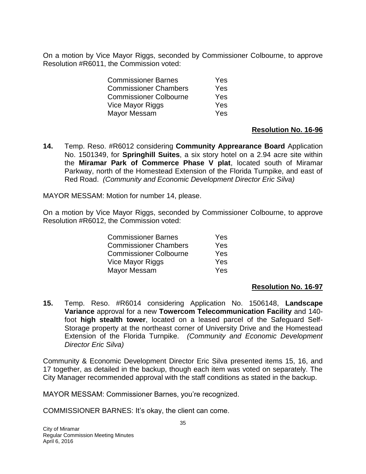On a motion by Vice Mayor Riggs, seconded by Commissioner Colbourne, to approve Resolution #R6011, the Commission voted:

| <b>Commissioner Barnes</b>    | Yes.       |
|-------------------------------|------------|
| <b>Commissioner Chambers</b>  | <b>Yes</b> |
| <b>Commissioner Colbourne</b> | Yes        |
| Vice Mayor Riggs              | Yes        |
| Mayor Messam                  | <b>Yes</b> |

### **Resolution No. 16-96**

**14.** Temp. Reso. #R6012 considering **Community Apprearance Board** Application No. 1501349, for **Springhill Suites**, a six story hotel on a 2.94 acre site within the **Miramar Park of Commerce Phase V plat**, located south of Miramar Parkway, north of the Homestead Extension of the Florida Turnpike, and east of Red Road. *(Community and Economic Development Director Eric Silva)*

MAYOR MESSAM: Motion for number 14, please.

On a motion by Vice Mayor Riggs, seconded by Commissioner Colbourne, to approve Resolution #R6012, the Commission voted:

| <b>Commissioner Barnes</b>    | Yes |
|-------------------------------|-----|
| <b>Commissioner Chambers</b>  | Yes |
| <b>Commissioner Colbourne</b> | Yes |
| Vice Mayor Riggs              | Yes |
| Mayor Messam                  | Yes |

### **Resolution No. 16-97**

**15.** Temp. Reso. #R6014 considering Application No. 1506148, **Landscape Variance** approval for a new **Towercom Telecommunication Facility** and 140 foot **high stealth tower**, located on a leased parcel of the Safeguard Self-Storage property at the northeast corner of University Drive and the Homestead Extension of the Florida Turnpike. *(Community and Economic Development Director Eric Silva)*

Community & Economic Development Director Eric Silva presented items 15, 16, and 17 together, as detailed in the backup, though each item was voted on separately. The City Manager recommended approval with the staff conditions as stated in the backup.

MAYOR MESSAM: Commissioner Barnes, you're recognized.

COMMISSIONER BARNES: It's okay, the client can come.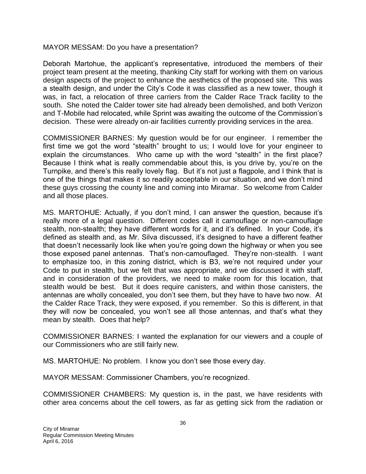MAYOR MESSAM: Do you have a presentation?

Deborah Martohue, the applicant's representative, introduced the members of their project team present at the meeting, thanking City staff for working with them on various design aspects of the project to enhance the aesthetics of the proposed site. This was a stealth design, and under the City's Code it was classified as a new tower, though it was, in fact, a relocation of three carriers from the Calder Race Track facility to the south. She noted the Calder tower site had already been demolished, and both Verizon and T-Mobile had relocated, while Sprint was awaiting the outcome of the Commission's decision. These were already on-air facilities currently providing services in the area.

COMMISSIONER BARNES: My question would be for our engineer. I remember the first time we got the word "stealth" brought to us; I would love for your engineer to explain the circumstances. Who came up with the word "stealth" in the first place? Because I think what is really commendable about this, is you drive by, you're on the Turnpike, and there's this really lovely flag. But it's not just a flagpole, and I think that is one of the things that makes it so readily acceptable in our situation, and we don't mind these guys crossing the county line and coming into Miramar. So welcome from Calder and all those places.

MS. MARTOHUE: Actually, if you don't mind, I can answer the question, because it's really more of a legal question. Different codes call it camouflage or non-camouflage stealth, non-stealth; they have different words for it, and it's defined. In your Code, it's defined as stealth and, as Mr. Silva discussed, it's designed to have a different feather that doesn't necessarily look like when you're going down the highway or when you see those exposed panel antennas. That's non-camouflaged. They're non-stealth. I want to emphasize too, in this zoning district, which is B3, we're not required under your Code to put in stealth, but we felt that was appropriate, and we discussed it with staff, and in consideration of the providers, we need to make room for this location, that stealth would be best. But it does require canisters, and within those canisters, the antennas are wholly concealed, you don't see them, but they have to have two now. At the Calder Race Track, they were exposed, if you remember. So this is different, in that they will now be concealed, you won't see all those antennas, and that's what they mean by stealth. Does that help?

COMMISSIONER BARNES: I wanted the explanation for our viewers and a couple of our Commissioners who are still fairly new.

MS. MARTOHUE: No problem. I know you don't see those every day.

MAYOR MESSAM: Commissioner Chambers, you're recognized.

COMMISSIONER CHAMBERS: My question is, in the past, we have residents with other area concerns about the cell towers, as far as getting sick from the radiation or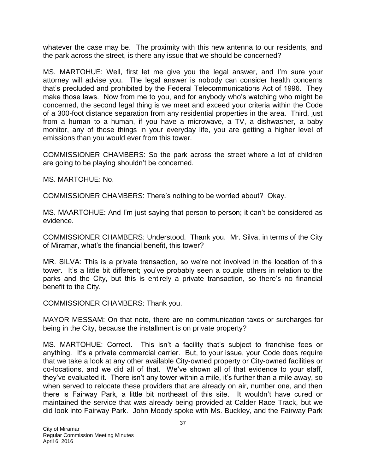whatever the case may be. The proximity with this new antenna to our residents, and the park across the street, is there any issue that we should be concerned?

MS. MARTOHUE: Well, first let me give you the legal answer, and I'm sure your attorney will advise you. The legal answer is nobody can consider health concerns that's precluded and prohibited by the Federal Telecommunications Act of 1996. They make those laws. Now from me to you, and for anybody who's watching who might be concerned, the second legal thing is we meet and exceed your criteria within the Code of a 300-foot distance separation from any residential properties in the area. Third, just from a human to a human, if you have a microwave, a TV, a dishwasher, a baby monitor, any of those things in your everyday life, you are getting a higher level of emissions than you would ever from this tower.

COMMISSIONER CHAMBERS: So the park across the street where a lot of children are going to be playing shouldn't be concerned.

MS. MARTOHUE: No.

COMMISSIONER CHAMBERS: There's nothing to be worried about? Okay.

MS. MAARTOHUE: And I'm just saying that person to person; it can't be considered as evidence.

COMMISSIONER CHAMBERS: Understood. Thank you. Mr. Silva, in terms of the City of Miramar, what's the financial benefit, this tower?

MR. SILVA: This is a private transaction, so we're not involved in the location of this tower. It's a little bit different; you've probably seen a couple others in relation to the parks and the City, but this is entirely a private transaction, so there's no financial benefit to the City.

COMMISSIONER CHAMBERS: Thank you.

MAYOR MESSAM: On that note, there are no communication taxes or surcharges for being in the City, because the installment is on private property?

MS. MARTOHUE: Correct. This isn't a facility that's subject to franchise fees or anything. It's a private commercial carrier. But, to your issue, your Code does require that we take a look at any other available City-owned property or City-owned facilities or co-locations, and we did all of that. We've shown all of that evidence to your staff, they've evaluated it. There isn't any tower within a mile, it's further than a mile away, so when served to relocate these providers that are already on air, number one, and then there is Fairway Park, a little bit northeast of this site. It wouldn't have cured or maintained the service that was already being provided at Calder Race Track, but we did look into Fairway Park. John Moody spoke with Ms. Buckley, and the Fairway Park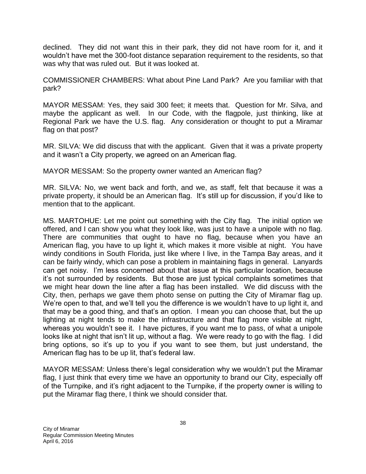declined. They did not want this in their park, they did not have room for it, and it wouldn't have met the 300-foot distance separation requirement to the residents, so that was why that was ruled out. But it was looked at.

COMMISSIONER CHAMBERS: What about Pine Land Park? Are you familiar with that park?

MAYOR MESSAM: Yes, they said 300 feet; it meets that. Question for Mr. Silva, and maybe the applicant as well. In our Code, with the flagpole, just thinking, like at Regional Park we have the U.S. flag. Any consideration or thought to put a Miramar flag on that post?

MR. SILVA: We did discuss that with the applicant. Given that it was a private property and it wasn't a City property, we agreed on an American flag.

MAYOR MESSAM: So the property owner wanted an American flag?

MR. SILVA: No, we went back and forth, and we, as staff, felt that because it was a private property, it should be an American flag. It's still up for discussion, if you'd like to mention that to the applicant.

MS. MARTOHUE: Let me point out something with the City flag. The initial option we offered, and I can show you what they look like, was just to have a unipole with no flag. There are communities that ought to have no flag, because when you have an American flag, you have to up light it, which makes it more visible at night. You have windy conditions in South Florida, just like where I live, in the Tampa Bay areas, and it can be fairly windy, which can pose a problem in maintaining flags in general. Lanyards can get noisy. I'm less concerned about that issue at this particular location, because it's not surrounded by residents. But those are just typical complaints sometimes that we might hear down the line after a flag has been installed. We did discuss with the City, then, perhaps we gave them photo sense on putting the City of Miramar flag up. We're open to that, and we'll tell you the difference is we wouldn't have to up light it, and that may be a good thing, and that's an option. I mean you can choose that, but the up lighting at night tends to make the infrastructure and that flag more visible at night, whereas you wouldn't see it. I have pictures, if you want me to pass, of what a unipole looks like at night that isn't lit up, without a flag. We were ready to go with the flag. I did bring options, so it's up to you if you want to see them, but just understand, the American flag has to be up lit, that's federal law.

MAYOR MESSAM: Unless there's legal consideration why we wouldn't put the Miramar flag, I just think that every time we have an opportunity to brand our City, especially off of the Turnpike, and it's right adjacent to the Turnpike, if the property owner is willing to put the Miramar flag there, I think we should consider that.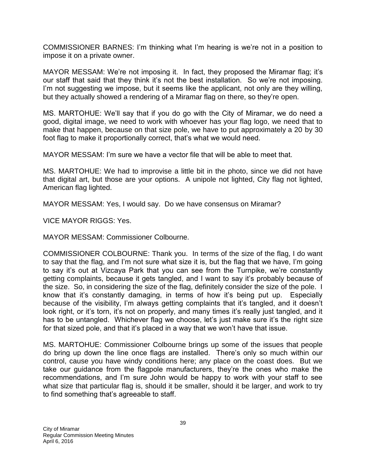COMMISSIONER BARNES: I'm thinking what I'm hearing is we're not in a position to impose it on a private owner.

MAYOR MESSAM: We're not imposing it. In fact, they proposed the Miramar flag; it's our staff that said that they think it's not the best installation. So we're not imposing. I'm not suggesting we impose, but it seems like the applicant, not only are they willing, but they actually showed a rendering of a Miramar flag on there, so they're open.

MS. MARTOHUE: We'll say that if you do go with the City of Miramar, we do need a good, digital image, we need to work with whoever has your flag logo, we need that to make that happen, because on that size pole, we have to put approximately a 20 by 30 foot flag to make it proportionally correct, that's what we would need.

MAYOR MESSAM: I'm sure we have a vector file that will be able to meet that.

MS. MARTOHUE: We had to improvise a little bit in the photo, since we did not have that digital art, but those are your options. A unipole not lighted, City flag not lighted, American flag lighted.

MAYOR MESSAM: Yes, I would say. Do we have consensus on Miramar?

VICE MAYOR RIGGS: Yes.

MAYOR MESSAM: Commissioner Colbourne.

COMMISSIONER COLBOURNE: Thank you. In terms of the size of the flag, I do want to say that the flag, and I'm not sure what size it is, but the flag that we have, I'm going to say it's out at Vizcaya Park that you can see from the Turnpike, we're constantly getting complaints, because it gets tangled, and I want to say it's probably because of the size. So, in considering the size of the flag, definitely consider the size of the pole. I know that it's constantly damaging, in terms of how it's being put up. Especially because of the visibility, I'm always getting complaints that it's tangled, and it doesn't look right, or it's torn, it's not on properly, and many times it's really just tangled, and it has to be untangled. Whichever flag we choose, let's just make sure it's the right size for that sized pole, and that it's placed in a way that we won't have that issue.

MS. MARTOHUE: Commissioner Colbourne brings up some of the issues that people do bring up down the line once flags are installed. There's only so much within our control, cause you have windy conditions here; any place on the coast does. But we take our guidance from the flagpole manufacturers, they're the ones who make the recommendations, and I'm sure John would be happy to work with your staff to see what size that particular flag is, should it be smaller, should it be larger, and work to try to find something that's agreeable to staff.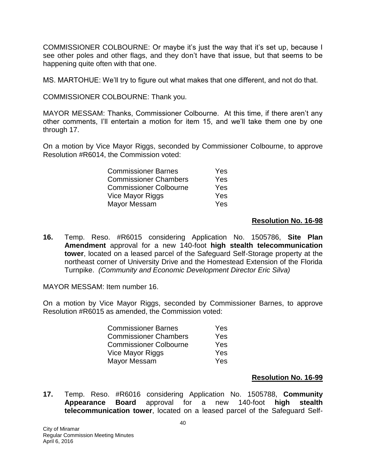COMMISSIONER COLBOURNE: Or maybe it's just the way that it's set up, because I see other poles and other flags, and they don't have that issue, but that seems to be happening quite often with that one.

MS. MARTOHUE: We'll try to figure out what makes that one different, and not do that.

COMMISSIONER COLBOURNE: Thank you.

MAYOR MESSAM: Thanks, Commissioner Colbourne. At this time, if there aren't any other comments, I'll entertain a motion for item 15, and we'll take them one by one through 17.

On a motion by Vice Mayor Riggs, seconded by Commissioner Colbourne, to approve Resolution #R6014, the Commission voted:

| <b>Commissioner Barnes</b>    | Yes |
|-------------------------------|-----|
| <b>Commissioner Chambers</b>  | Yes |
| <b>Commissioner Colbourne</b> | Yes |
| Vice Mayor Riggs              | Yes |
| Mayor Messam                  | Yes |

## **Resolution No. 16-98**

**16.** Temp. Reso. #R6015 considering Application No. 1505786, **Site Plan Amendment** approval for a new 140-foot **high stealth telecommunication tower**, located on a leased parcel of the Safeguard Self-Storage property at the northeast corner of University Drive and the Homestead Extension of the Florida Turnpike. *(Community and Economic Development Director Eric Silva)*

MAYOR MESSAM: Item number 16.

On a motion by Vice Mayor Riggs, seconded by Commissioner Barnes, to approve Resolution #R6015 as amended, the Commission voted:

| <b>Commissioner Barnes</b>    | Yes        |
|-------------------------------|------------|
| <b>Commissioner Chambers</b>  | <b>Yes</b> |
| <b>Commissioner Colbourne</b> | Yes        |
| Vice Mayor Riggs              | Yes        |
| Mayor Messam                  | <b>Yes</b> |

## **Resolution No. 16-99**

**17.** Temp. Reso. #R6016 considering Application No. 1505788, **Community Appearance Board** approval for a new 140-foot **high stealth telecommunication tower**, located on a leased parcel of the Safeguard Self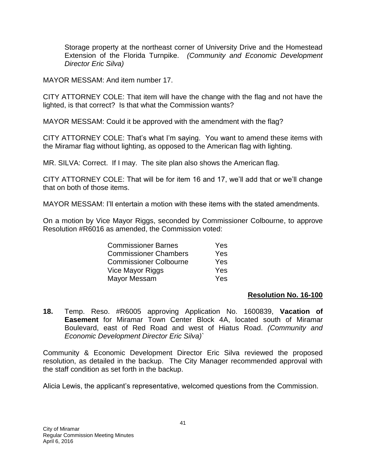Storage property at the northeast corner of University Drive and the Homestead Extension of the Florida Turnpike. *(Community and Economic Development Director Eric Silva)*

MAYOR MESSAM: And item number 17.

CITY ATTORNEY COLE: That item will have the change with the flag and not have the lighted, is that correct? Is that what the Commission wants?

MAYOR MESSAM: Could it be approved with the amendment with the flag?

CITY ATTORNEY COLE: That's what I'm saying. You want to amend these items with the Miramar flag without lighting, as opposed to the American flag with lighting.

MR. SILVA: Correct. If I may. The site plan also shows the American flag.

CITY ATTORNEY COLE: That will be for item 16 and 17, we'll add that or we'll change that on both of those items.

MAYOR MESSAM: I'll entertain a motion with these items with the stated amendments.

On a motion by Vice Mayor Riggs, seconded by Commissioner Colbourne, to approve Resolution #R6016 as amended, the Commission voted:

| <b>Commissioner Barnes</b>    | Yes |
|-------------------------------|-----|
| <b>Commissioner Chambers</b>  | Yes |
| <b>Commissioner Colbourne</b> | Yes |
| Vice Mayor Riggs              | Yes |
| Mayor Messam                  | Yes |

## **Resolution No. 16-100**

**18.** Temp. Reso. #R6005 approving Application No. 1600839, **Vacation of Easement** for Miramar Town Center Block 4A, located south of Miramar Boulevard, east of Red Road and west of Hiatus Road. *(Community and Economic Development Director Eric Silva)`*

Community & Economic Development Director Eric Silva reviewed the proposed resolution, as detailed in the backup. The City Manager recommended approval with the staff condition as set forth in the backup.

Alicia Lewis, the applicant's representative, welcomed questions from the Commission.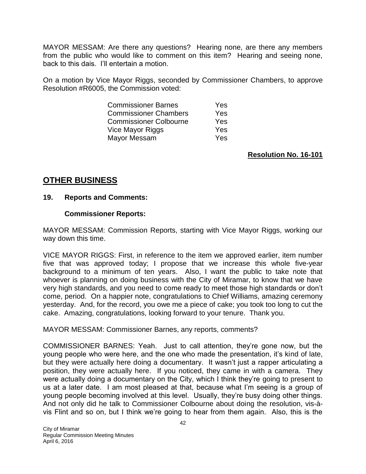MAYOR MESSAM: Are there any questions? Hearing none, are there any members from the public who would like to comment on this item? Hearing and seeing none, back to this dais. I'll entertain a motion.

On a motion by Vice Mayor Riggs, seconded by Commissioner Chambers, to approve Resolution #R6005, the Commission voted:

| <b>Commissioner Barnes</b>    | <b>Yes</b> |
|-------------------------------|------------|
| <b>Commissioner Chambers</b>  | Yes        |
| <b>Commissioner Colbourne</b> | Yes        |
| Vice Mayor Riggs              | Yes        |
| Mayor Messam                  | Yes        |

**Resolution No. 16-101**

## **OTHER BUSINESS**

### **19. Reports and Comments:**

### **Commissioner Reports:**

MAYOR MESSAM: Commission Reports, starting with Vice Mayor Riggs, working our way down this time.

VICE MAYOR RIGGS: First, in reference to the item we approved earlier, item number five that was approved today; I propose that we increase this whole five-year background to a minimum of ten years. Also, I want the public to take note that whoever is planning on doing business with the City of Miramar, to know that we have very high standards, and you need to come ready to meet those high standards or don't come, period. On a happier note, congratulations to Chief Williams, amazing ceremony yesterday. And, for the record, you owe me a piece of cake; you took too long to cut the cake. Amazing, congratulations, looking forward to your tenure. Thank you.

MAYOR MESSAM: Commissioner Barnes, any reports, comments?

COMMISSIONER BARNES: Yeah. Just to call attention, they're gone now, but the young people who were here, and the one who made the presentation, it's kind of late, but they were actually here doing a documentary. It wasn't just a rapper articulating a position, they were actually here. If you noticed, they came in with a camera. They were actually doing a documentary on the City, which I think they're going to present to us at a later date. I am most pleased at that, because what I'm seeing is a group of young people becoming involved at this level. Usually, they're busy doing other things. And not only did he talk to Commissioner Colbourne about doing the resolution, vis-àvis Flint and so on, but I think we're going to hear from them again. Also, this is the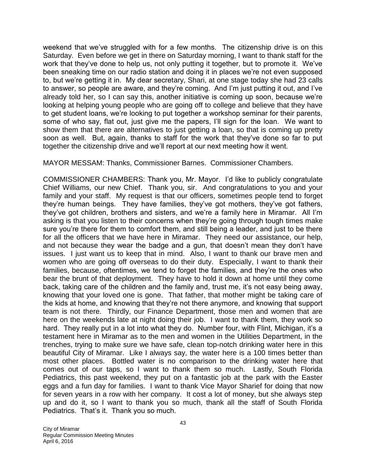weekend that we've struggled with for a few months. The citizenship drive is on this Saturday. Even before we get in there on Saturday morning, I want to thank staff for the work that they've done to help us, not only putting it together, but to promote it. We've been sneaking time on our radio station and doing it in places we're not even supposed to, but we're getting it in. My dear secretary, Shari, at one stage today she had 23 calls to answer, so people are aware, and they're coming. And I'm just putting it out, and I've already told her, so I can say this, another initiative is coming up soon, because we're looking at helping young people who are going off to college and believe that they have to get student loans, we're looking to put together a workshop seminar for their parents, some of who say, flat out, just give me the papers, I'll sign for the loan. We want to show them that there are alternatives to just getting a loan, so that is coming up pretty soon as well. But, again, thanks to staff for the work that they've done so far to put together the citizenship drive and we'll report at our next meeting how it went.

MAYOR MESSAM: Thanks, Commissioner Barnes. Commissioner Chambers.

COMMISSIONER CHAMBERS: Thank you, Mr. Mayor. I'd like to publicly congratulate Chief Williams, our new Chief. Thank you, sir. And congratulations to you and your family and your staff. My request is that our officers, sometimes people tend to forget they're human beings. They have families, they've got mothers, they've got fathers, they've got children, brothers and sisters, and we're a family here in Miramar. All I'm asking is that you listen to their concerns when they're going through tough times make sure you're there for them to comfort them, and still being a leader, and just to be there for all the officers that we have here in Miramar. They need our assistance, our help, and not because they wear the badge and a gun, that doesn't mean they don't have issues. I just want us to keep that in mind. Also, I want to thank our brave men and women who are going off overseas to do their duty. Especially, I want to thank their families, because, oftentimes, we tend to forget the families, and they're the ones who bear the brunt of that deployment. They have to hold it down at home until they come back, taking care of the children and the family and, trust me, it's not easy being away, knowing that your loved one is gone. That father, that mother might be taking care of the kids at home, and knowing that they're not there anymore, and knowing that support team is not there. Thirdly, our Finance Department, those men and women that are here on the weekends late at night doing their job. I want to thank them, they work so hard. They really put in a lot into what they do. Number four, with Flint, Michigan, it's a testament here in Miramar as to the men and women in the Utilities Department, in the trenches, trying to make sure we have safe, clean top-notch drinking water here in this beautiful City of Miramar. Like I always say, the water here is a 100 times better than most other places. Bottled water is no comparison to the drinking water here that comes out of our taps, so I want to thank them so much. Lastly, South Florida Pediatrics, this past weekend, they put on a fantastic job at the park with the Easter eggs and a fun day for families. I want to thank Vice Mayor Sharief for doing that now for seven years in a row with her company. It cost a lot of money, but she always step up and do it, so I want to thank you so much, thank all the staff of South Florida Pediatrics. That's it. Thank you so much.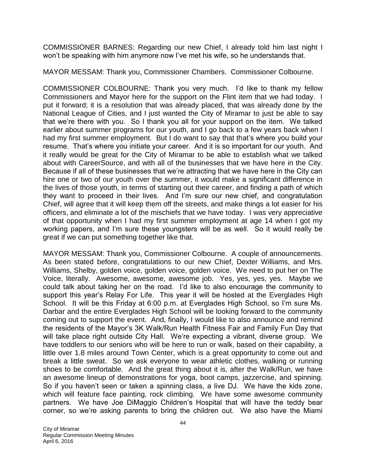COMMISSIONER BARNES: Regarding our new Chief, I already told him last night I won't be speaking with him anymore now I've met his wife, so he understands that.

MAYOR MESSAM: Thank you, Commissioner Chambers. Commissioner Colbourne.

COMMISSIONER COLBOURNE: Thank you very much. I'd like to thank my fellow Commissioners and Mayor here for the support on the Flint item that we had today. I put it forward; it is a resolution that was already placed, that was already done by the National League of Cities, and I just wanted the City of Miramar to just be able to say that we're there with you. So I thank you all for your support on the item. We talked earlier about summer programs for our youth, and I go back to a few years back when I had my first summer employment. But I do want to say that that's where you build your resume. That's where you initiate your career. And it is so important for our youth. And it really would be great for the City of Miramar to be able to establish what we talked about with CareerSource, and with all of the businesses that we have here in the City. Because if all of these businesses that we're attracting that we have here in the City can hire one or two of our youth over the summer, it would make a significant difference in the lives of those youth, in terms of starting out their career, and finding a path of which they want to proceed in their lives. And I'm sure our new chief, and congratulation Chief, will agree that it will keep them off the streets, and make things a lot easier for his officers, and eliminate a lot of the mischiefs that we have today. I was very appreciative of that opportunity when I had my first summer employment at age 14 when I got my working papers, and I'm sure these youngsters will be as well. So it would really be great if we can put something together like that.

MAYOR MESSAM: Thank you, Commissioner Colbourne. A couple of announcements. As been stated before, congratulations to our new Chief, Dexter Williams, and Mrs. Williams, Shelby, golden voice, golden voice, golden voice. We need to put her on The Voice, literally. Awesome, awesome, awesome job. Yes, yes, yes, yes. Maybe we could talk about taking her on the road. I'd like to also encourage the community to support this year's Relay For Life. This year it will be hosted at the Everglades High School. It will be this Friday at 6:00 p.m. at Everglades High School, so I'm sure Ms. Darbar and the entire Everglades High School will be looking forward to the community coming out to support the event. And, finally, I would like to also announce and remind the residents of the Mayor's 3K Walk/Run Health Fitness Fair and Family Fun Day that will take place right outside City Hall. We're expecting a vibrant, diverse group. We have toddlers to our seniors who will be here to run or walk, based on their capability, a little over 1.8 miles around Town Center, which is a great opportunity to come out and break a little sweat. So we ask everyone to wear athletic clothes, walking or running shoes to be comfortable. And the great thing about it is, after the Walk/Run, we have an awesome lineup of demonstrations for yoga, boot camps, jazzercise, and spinning. So if you haven't seen or taken a spinning class, a live DJ. We have the kids zone, which will feature face painting, rock climbing. We have some awesome community partners. We have Joe DiMaggio Children's Hospital that will have the teddy bear corner, so we're asking parents to bring the children out. We also have the Miami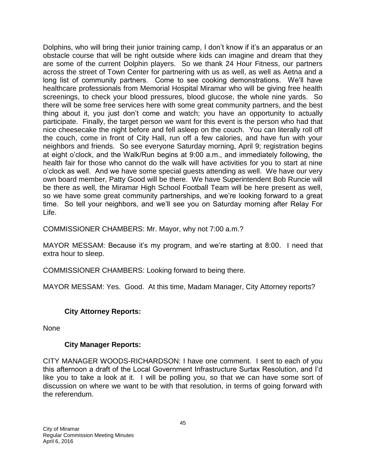Dolphins, who will bring their junior training camp, I don't know if it's an apparatus or an obstacle course that will be right outside where kids can imagine and dream that they are some of the current Dolphin players. So we thank 24 Hour Fitness, our partners across the street of Town Center for partnering with us as well, as well as Aetna and a long list of community partners. Come to see cooking demonstrations. We'll have healthcare professionals from Memorial Hospital Miramar who will be giving free health screenings, to check your blood pressures, blood glucose, the whole nine yards. So there will be some free services here with some great community partners, and the best thing about it, you just don't come and watch; you have an opportunity to actually participate. Finally, the target person we want for this event is the person who had that nice cheesecake the night before and fell asleep on the couch. You can literally roll off the couch, come in front of City Hall, run off a few calories, and have fun with your neighbors and friends. So see everyone Saturday morning, April 9; registration begins at eight o'clock, and the Walk/Run begins at 9:00 a.m., and immediately following, the health fair for those who cannot do the walk will have activities for you to start at nine o'clock as well. And we have some special guests attending as well. We have our very own board member, Patty Good will be there. We have Superintendent Bob Runcie will be there as well, the Miramar High School Football Team will be here present as well, so we have some great community partnerships, and we're looking forward to a great time. So tell your neighbors, and we'll see you on Saturday morning after Relay For Life.

COMMISSIONER CHAMBERS: Mr. Mayor, why not 7:00 a.m.?

MAYOR MESSAM: Because it's my program, and we're starting at 8:00. I need that extra hour to sleep.

COMMISSIONER CHAMBERS: Looking forward to being there.

MAYOR MESSAM: Yes. Good. At this time, Madam Manager, City Attorney reports?

## **City Attorney Reports:**

None

## **City Manager Reports:**

CITY MANAGER WOODS-RICHARDSON: I have one comment. I sent to each of you this afternoon a draft of the Local Government Infrastructure Surtax Resolution, and I'd like you to take a look at it. I will be polling you, so that we can have some sort of discussion on where we want to be with that resolution, in terms of going forward with the referendum.